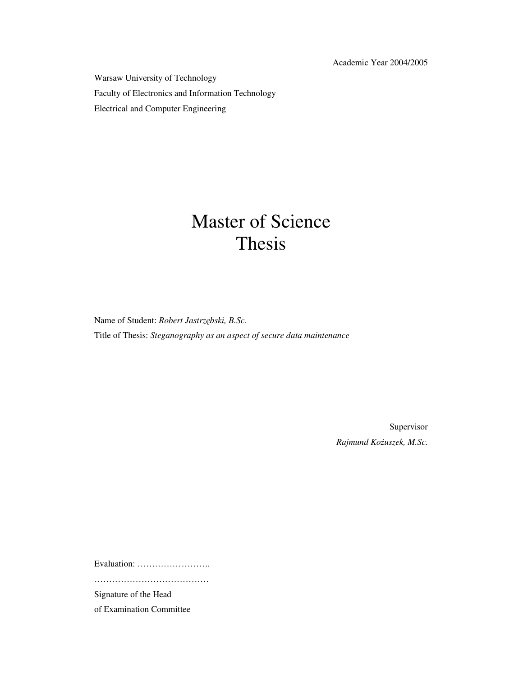Academic Year 2004/2005

Warsaw University of Technology Faculty of Electronics and Information Technology Electrical and Computer Engineering

## Master of Science Thesis

Name of Student: *Robert Jastrzębski, B.Sc.* Title of Thesis: *Steganography as an aspect of secure data maintenance*

> Supervisor *Rajmund KoŜuszek, M.Sc.*

Evaluation: …………………….

…………………………………

Signature of the Head

of Examination Committee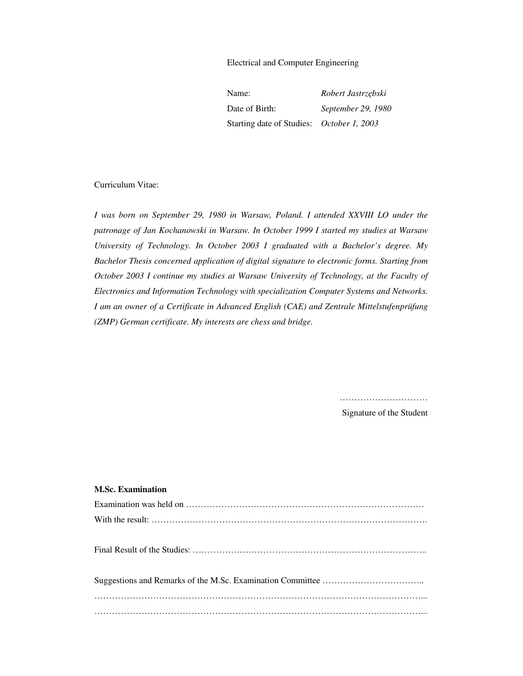Electrical and Computer Engineering

| Name:                                     | Robert Jastrzębski |
|-------------------------------------------|--------------------|
| Date of Birth:                            | September 29, 1980 |
| Starting date of Studies: October 1, 2003 |                    |

#### Curriculum Vitae:

*I was born on September 29, 1980 in Warsaw, Poland. I attended XXVIII LO under the patronage of Jan Kochanowski in Warsaw. In October 1999 I started my studies at Warsaw University of Technology. In October 2003 I graduated with a Bachelor's degree. My Bachelor Thesis concerned application of digital signature to electronic forms. Starting from October 2003 I continue my studies at Warsaw University of Technology, at the Faculty of Electronics and Information Technology with specialization Computer Systems and Networks. I am an owner of a Certificate in Advanced English (CAE) and Zentrale Mittelstufenprüfung (ZMP) German certificate. My interests are chess and bridge.* 

> ………………………… Signature of the Student

#### **M.Sc. Examination**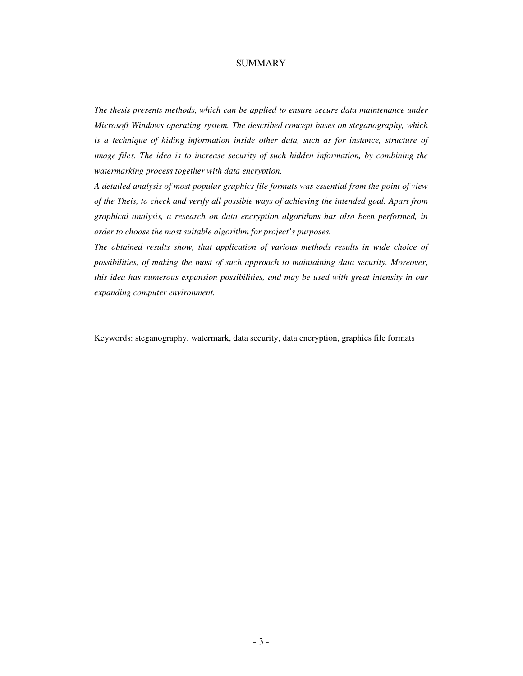#### SUMMARY

*The thesis presents methods, which can be applied to ensure secure data maintenance under Microsoft Windows operating system. The described concept bases on steganography, which*  is a technique of hiding information inside other data, such as for instance, structure of *image files. The idea is to increase security of such hidden information, by combining the watermarking process together with data encryption.*

*A detailed analysis of most popular graphics file formats was essential from the point of view of the Theis, to check and verify all possible ways of achieving the intended goal. Apart from graphical analysis, a research on data encryption algorithms has also been performed, in order to choose the most suitable algorithm for project's purposes.* 

*The obtained results show, that application of various methods results in wide choice of possibilities, of making the most of such approach to maintaining data security. Moreover, this idea has numerous expansion possibilities, and may be used with great intensity in our expanding computer environment.* 

Keywords: steganography, watermark, data security, data encryption, graphics file formats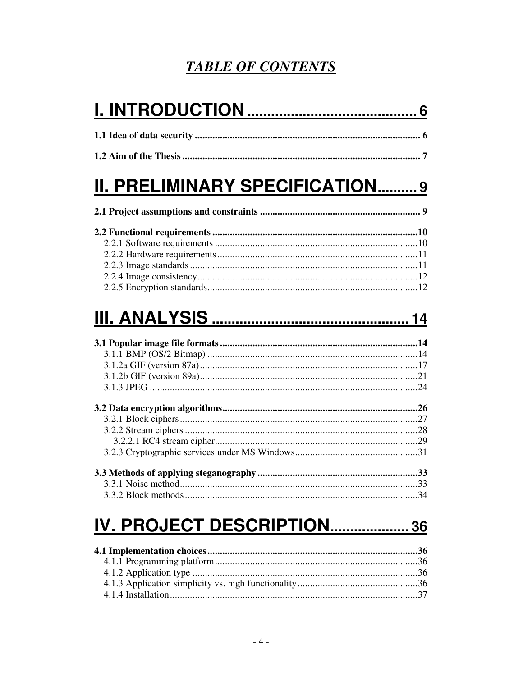## **TABLE OF CONTENTS**

# **II. PRELIMINARY SPECIFICATION..........9**

# 

# IV. PROJECT DESCRIPTION....................36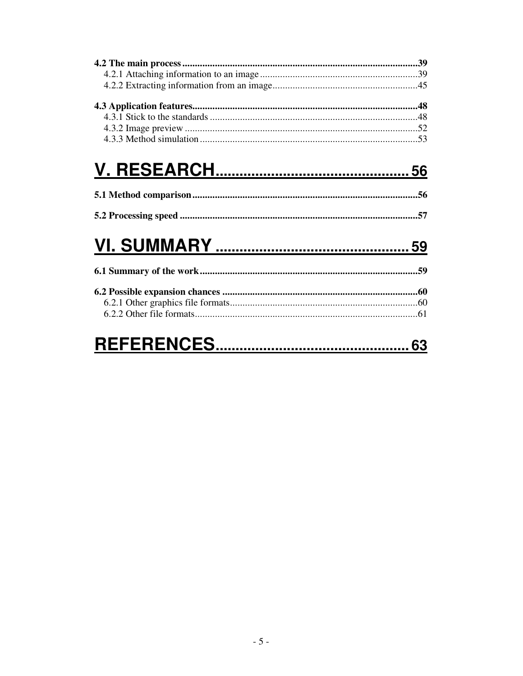# 

#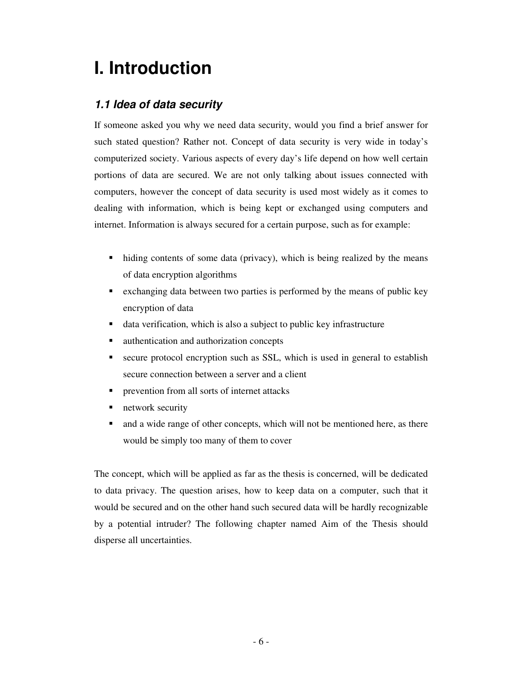## **I. Introduction**

## **1.1 Idea of data security**

If someone asked you why we need data security, would you find a brief answer for such stated question? Rather not. Concept of data security is very wide in today's computerized society. Various aspects of every day's life depend on how well certain portions of data are secured. We are not only talking about issues connected with computers, however the concept of data security is used most widely as it comes to dealing with information, which is being kept or exchanged using computers and internet. Information is always secured for a certain purpose, such as for example:

- hiding contents of some data (privacy), which is being realized by the means of data encryption algorithms
- exchanging data between two parties is performed by the means of public key encryption of data
- data verification, which is also a subject to public key infrastructure
- authentication and authorization concepts
- secure protocol encryption such as SSL, which is used in general to establish secure connection between a server and a client
- **•** prevention from all sorts of internet attacks
- **network security**
- and a wide range of other concepts, which will not be mentioned here, as there would be simply too many of them to cover

The concept, which will be applied as far as the thesis is concerned, will be dedicated to data privacy. The question arises, how to keep data on a computer, such that it would be secured and on the other hand such secured data will be hardly recognizable by a potential intruder? The following chapter named Aim of the Thesis should disperse all uncertainties.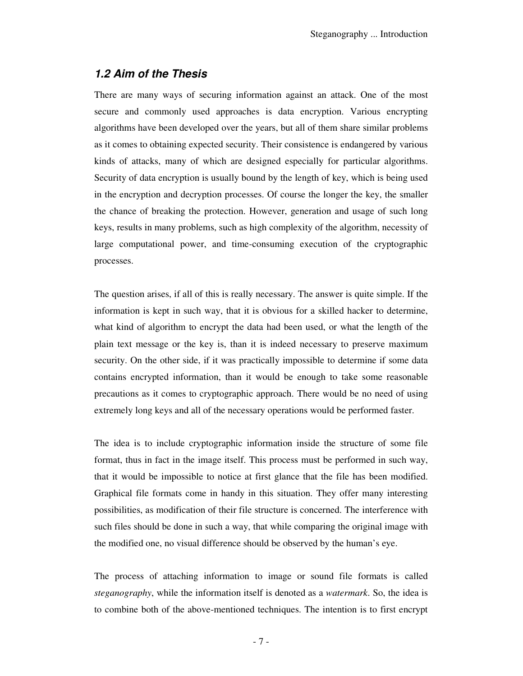## **1.2 Aim of the Thesis**

There are many ways of securing information against an attack. One of the most secure and commonly used approaches is data encryption. Various encrypting algorithms have been developed over the years, but all of them share similar problems as it comes to obtaining expected security. Their consistence is endangered by various kinds of attacks, many of which are designed especially for particular algorithms. Security of data encryption is usually bound by the length of key, which is being used in the encryption and decryption processes. Of course the longer the key, the smaller the chance of breaking the protection. However, generation and usage of such long keys, results in many problems, such as high complexity of the algorithm, necessity of large computational power, and time-consuming execution of the cryptographic processes.

The question arises, if all of this is really necessary. The answer is quite simple. If the information is kept in such way, that it is obvious for a skilled hacker to determine, what kind of algorithm to encrypt the data had been used, or what the length of the plain text message or the key is, than it is indeed necessary to preserve maximum security. On the other side, if it was practically impossible to determine if some data contains encrypted information, than it would be enough to take some reasonable precautions as it comes to cryptographic approach. There would be no need of using extremely long keys and all of the necessary operations would be performed faster.

The idea is to include cryptographic information inside the structure of some file format, thus in fact in the image itself. This process must be performed in such way, that it would be impossible to notice at first glance that the file has been modified. Graphical file formats come in handy in this situation. They offer many interesting possibilities, as modification of their file structure is concerned. The interference with such files should be done in such a way, that while comparing the original image with the modified one, no visual difference should be observed by the human's eye.

The process of attaching information to image or sound file formats is called *steganography*, while the information itself is denoted as a *watermark*. So, the idea is to combine both of the above-mentioned techniques. The intention is to first encrypt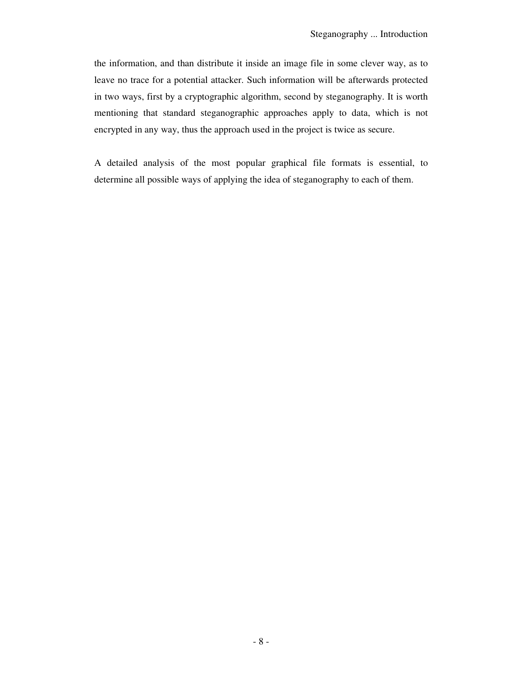the information, and than distribute it inside an image file in some clever way, as to leave no trace for a potential attacker. Such information will be afterwards protected in two ways, first by a cryptographic algorithm, second by steganography. It is worth mentioning that standard steganographic approaches apply to data, which is not encrypted in any way, thus the approach used in the project is twice as secure.

A detailed analysis of the most popular graphical file formats is essential, to determine all possible ways of applying the idea of steganography to each of them.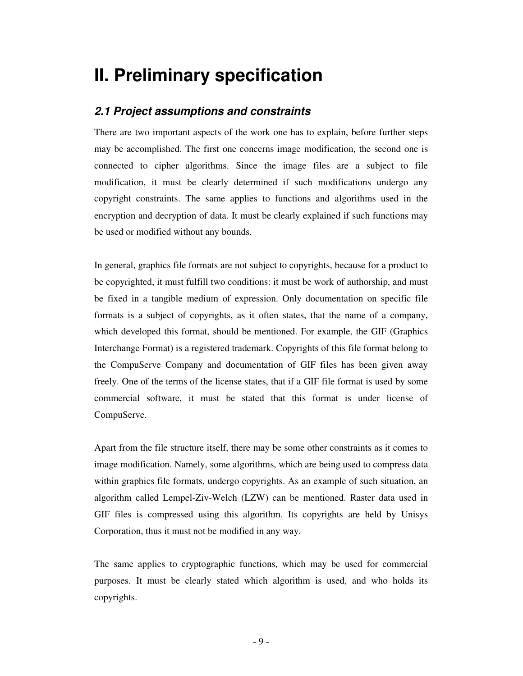## **II. Preliminary specification**

## **2.1 Project assumptions and constraints**

There are two important aspects of the work one has to explain, before further steps may be accomplished. The first one concerns image modification, the second one is connected to cipher algorithms. Since the image files are a subject to file modification, it must be clearly determined if such modifications undergo any copyright constraints. The same applies to functions and algorithms used in the encryption and decryption of data. It must be clearly explained if such functions may be used or modified without any bounds.

In general, graphics file formats are not subject to copyrights, because for a product to be copyrighted, it must fulfill two conditions: it must be work of authorship, and must be fixed in a tangible medium of expression. Only documentation on specific file formats is a subject of copyrights, as it often states, that the name of a company, which developed this format, should be mentioned. For example, the GIF (Graphics Interchange Format) is a registered trademark. Copyrights of this file format belong to the CompuServe Company and documentation of GIF files has been given away freely. One of the terms of the license states, that if a GIF file format is used by some commercial software, it must be stated that this format is under license of CompuServe.

Apart from the file structure itself, there may be some other constraints as it comes to image modification. Namely, some algorithms, which are being used to compress data within graphics file formats, undergo copyrights. As an example of such situation, an algorithm called Lempel-Ziv-Welch (LZW) can be mentioned. Raster data used in GIF files is compressed using this algorithm. Its copyrights are held by Unisys Corporation, thus it must not be modified in any way.

The same applies to cryptographic functions, which may be used for commercial purposes. It must be clearly stated which algorithm is used, and who holds its copyrights.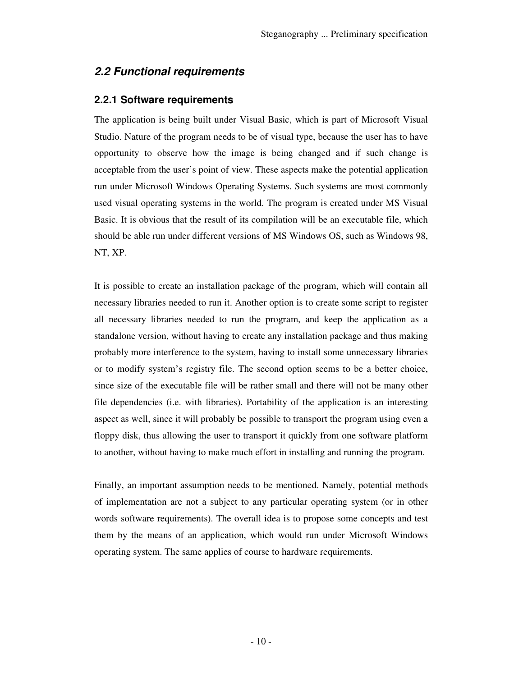## **2.2 Functional requirements**

### **2.2.1 Software requirements**

The application is being built under Visual Basic, which is part of Microsoft Visual Studio. Nature of the program needs to be of visual type, because the user has to have opportunity to observe how the image is being changed and if such change is acceptable from the user's point of view. These aspects make the potential application run under Microsoft Windows Operating Systems. Such systems are most commonly used visual operating systems in the world. The program is created under MS Visual Basic. It is obvious that the result of its compilation will be an executable file, which should be able run under different versions of MS Windows OS, such as Windows 98, NT, XP.

It is possible to create an installation package of the program, which will contain all necessary libraries needed to run it. Another option is to create some script to register all necessary libraries needed to run the program, and keep the application as a standalone version, without having to create any installation package and thus making probably more interference to the system, having to install some unnecessary libraries or to modify system's registry file. The second option seems to be a better choice, since size of the executable file will be rather small and there will not be many other file dependencies (i.e. with libraries). Portability of the application is an interesting aspect as well, since it will probably be possible to transport the program using even a floppy disk, thus allowing the user to transport it quickly from one software platform to another, without having to make much effort in installing and running the program.

Finally, an important assumption needs to be mentioned. Namely, potential methods of implementation are not a subject to any particular operating system (or in other words software requirements). The overall idea is to propose some concepts and test them by the means of an application, which would run under Microsoft Windows operating system. The same applies of course to hardware requirements.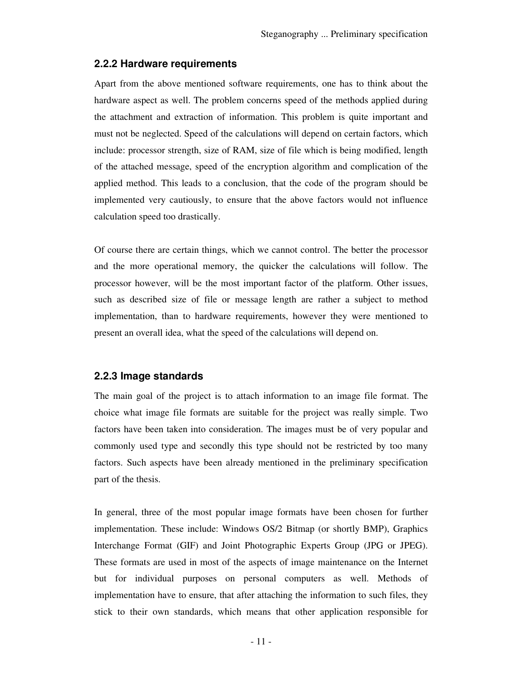## **2.2.2 Hardware requirements**

Apart from the above mentioned software requirements, one has to think about the hardware aspect as well. The problem concerns speed of the methods applied during the attachment and extraction of information. This problem is quite important and must not be neglected. Speed of the calculations will depend on certain factors, which include: processor strength, size of RAM, size of file which is being modified, length of the attached message, speed of the encryption algorithm and complication of the applied method. This leads to a conclusion, that the code of the program should be implemented very cautiously, to ensure that the above factors would not influence calculation speed too drastically.

Of course there are certain things, which we cannot control. The better the processor and the more operational memory, the quicker the calculations will follow. The processor however, will be the most important factor of the platform. Other issues, such as described size of file or message length are rather a subject to method implementation, than to hardware requirements, however they were mentioned to present an overall idea, what the speed of the calculations will depend on.

## **2.2.3 Image standards**

The main goal of the project is to attach information to an image file format. The choice what image file formats are suitable for the project was really simple. Two factors have been taken into consideration. The images must be of very popular and commonly used type and secondly this type should not be restricted by too many factors. Such aspects have been already mentioned in the preliminary specification part of the thesis.

In general, three of the most popular image formats have been chosen for further implementation. These include: Windows OS/2 Bitmap (or shortly BMP), Graphics Interchange Format (GIF) and Joint Photographic Experts Group (JPG or JPEG). These formats are used in most of the aspects of image maintenance on the Internet but for individual purposes on personal computers as well. Methods of implementation have to ensure, that after attaching the information to such files, they stick to their own standards, which means that other application responsible for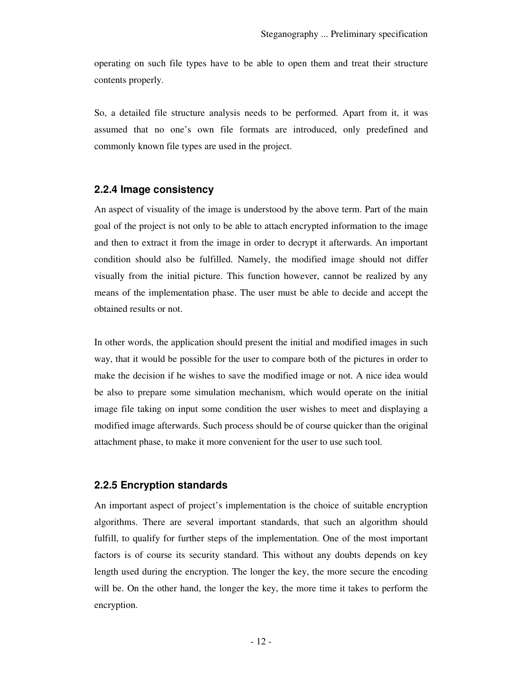operating on such file types have to be able to open them and treat their structure contents properly.

So, a detailed file structure analysis needs to be performed. Apart from it, it was assumed that no one's own file formats are introduced, only predefined and commonly known file types are used in the project.

#### **2.2.4 Image consistency**

An aspect of visuality of the image is understood by the above term. Part of the main goal of the project is not only to be able to attach encrypted information to the image and then to extract it from the image in order to decrypt it afterwards. An important condition should also be fulfilled. Namely, the modified image should not differ visually from the initial picture. This function however, cannot be realized by any means of the implementation phase. The user must be able to decide and accept the obtained results or not.

In other words, the application should present the initial and modified images in such way, that it would be possible for the user to compare both of the pictures in order to make the decision if he wishes to save the modified image or not. A nice idea would be also to prepare some simulation mechanism, which would operate on the initial image file taking on input some condition the user wishes to meet and displaying a modified image afterwards. Such process should be of course quicker than the original attachment phase, to make it more convenient for the user to use such tool.

#### **2.2.5 Encryption standards**

An important aspect of project's implementation is the choice of suitable encryption algorithms. There are several important standards, that such an algorithm should fulfill, to qualify for further steps of the implementation. One of the most important factors is of course its security standard. This without any doubts depends on key length used during the encryption. The longer the key, the more secure the encoding will be. On the other hand, the longer the key, the more time it takes to perform the encryption.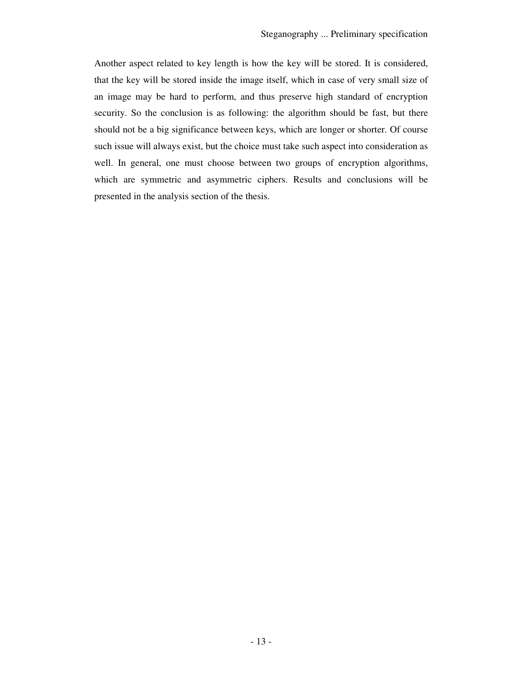Another aspect related to key length is how the key will be stored. It is considered, that the key will be stored inside the image itself, which in case of very small size of an image may be hard to perform, and thus preserve high standard of encryption security. So the conclusion is as following: the algorithm should be fast, but there should not be a big significance between keys, which are longer or shorter. Of course such issue will always exist, but the choice must take such aspect into consideration as well. In general, one must choose between two groups of encryption algorithms, which are symmetric and asymmetric ciphers. Results and conclusions will be presented in the analysis section of the thesis.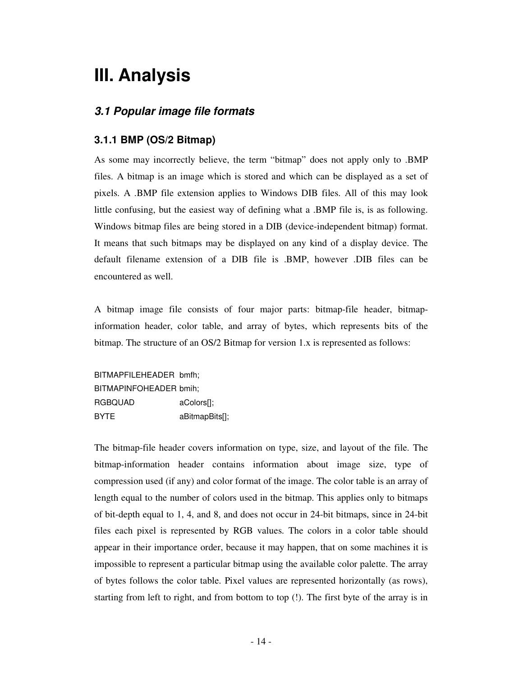## **III. Analysis**

## **3.1 Popular image file formats**

## **3.1.1 BMP (OS/2 Bitmap)**

As some may incorrectly believe, the term "bitmap" does not apply only to .BMP files. A bitmap is an image which is stored and which can be displayed as a set of pixels. A .BMP file extension applies to Windows DIB files. All of this may look little confusing, but the easiest way of defining what a .BMP file is, is as following. Windows bitmap files are being stored in a DIB (device-independent bitmap) format. It means that such bitmaps may be displayed on any kind of a display device. The default filename extension of a DIB file is .BMP, however .DIB files can be encountered as well.

A bitmap image file consists of four major parts: bitmap-file header, bitmapinformation header, color table, and array of bytes, which represents bits of the bitmap. The structure of an OS/2 Bitmap for version 1.x is represented as follows:

BITMAPFILEHEADER bmfh; BITMAPINFOHEADER bmih; RGBQUAD aColors[]; BYTE aBitmapBits[];

The bitmap-file header covers information on type, size, and layout of the file. The bitmap-information header contains information about image size, type of compression used (if any) and color format of the image. The color table is an array of length equal to the number of colors used in the bitmap. This applies only to bitmaps of bit-depth equal to 1, 4, and 8, and does not occur in 24-bit bitmaps, since in 24-bit files each pixel is represented by RGB values. The colors in a color table should appear in their importance order, because it may happen, that on some machines it is impossible to represent a particular bitmap using the available color palette. The array of bytes follows the color table. Pixel values are represented horizontally (as rows), starting from left to right, and from bottom to top (!). The first byte of the array is in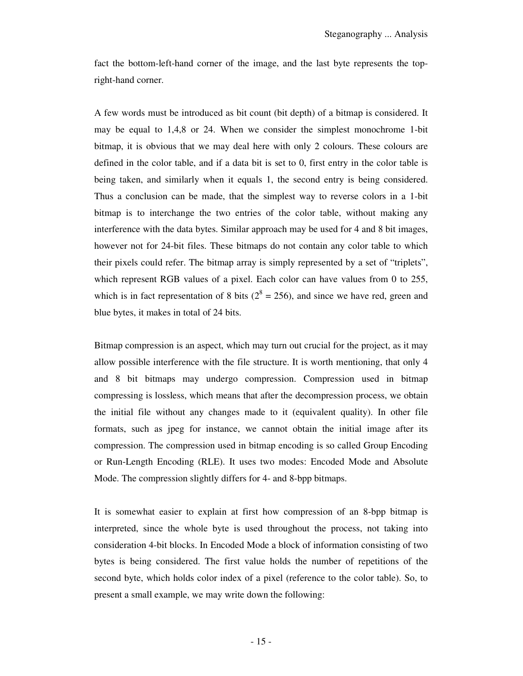fact the bottom-left-hand corner of the image, and the last byte represents the topright-hand corner.

A few words must be introduced as bit count (bit depth) of a bitmap is considered. It may be equal to 1,4,8 or 24. When we consider the simplest monochrome 1-bit bitmap, it is obvious that we may deal here with only 2 colours. These colours are defined in the color table, and if a data bit is set to 0, first entry in the color table is being taken, and similarly when it equals 1, the second entry is being considered. Thus a conclusion can be made, that the simplest way to reverse colors in a 1-bit bitmap is to interchange the two entries of the color table, without making any interference with the data bytes. Similar approach may be used for 4 and 8 bit images, however not for 24-bit files. These bitmaps do not contain any color table to which their pixels could refer. The bitmap array is simply represented by a set of "triplets", which represent RGB values of a pixel. Each color can have values from 0 to 255, which is in fact representation of 8 bits ( $2^8 = 256$ ), and since we have red, green and blue bytes, it makes in total of 24 bits.

Bitmap compression is an aspect, which may turn out crucial for the project, as it may allow possible interference with the file structure. It is worth mentioning, that only 4 and 8 bit bitmaps may undergo compression. Compression used in bitmap compressing is lossless, which means that after the decompression process, we obtain the initial file without any changes made to it (equivalent quality). In other file formats, such as jpeg for instance, we cannot obtain the initial image after its compression. The compression used in bitmap encoding is so called Group Encoding or Run-Length Encoding (RLE). It uses two modes: Encoded Mode and Absolute Mode. The compression slightly differs for 4- and 8-bpp bitmaps.

It is somewhat easier to explain at first how compression of an 8-bpp bitmap is interpreted, since the whole byte is used throughout the process, not taking into consideration 4-bit blocks. In Encoded Mode a block of information consisting of two bytes is being considered. The first value holds the number of repetitions of the second byte, which holds color index of a pixel (reference to the color table). So, to present a small example, we may write down the following: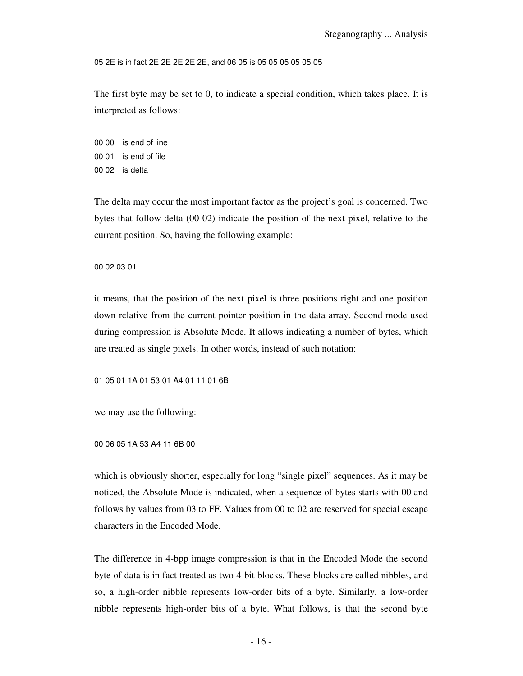05 2E is in fact 2E 2E 2E 2E 2E, and 06 05 is 05 05 05 05 05 05

The first byte may be set to 0, to indicate a special condition, which takes place. It is interpreted as follows:

00 00 is end of line 00 01 is end of file 00 02 is delta

The delta may occur the most important factor as the project's goal is concerned. Two bytes that follow delta (00 02) indicate the position of the next pixel, relative to the current position. So, having the following example:

#### 00 02 03 01

it means, that the position of the next pixel is three positions right and one position down relative from the current pointer position in the data array. Second mode used during compression is Absolute Mode. It allows indicating a number of bytes, which are treated as single pixels. In other words, instead of such notation:

01 05 01 1A 01 53 01 A4 01 11 01 6B

we may use the following:

#### 00 06 05 1A 53 A4 11 6B 00

which is obviously shorter, especially for long "single pixel" sequences. As it may be noticed, the Absolute Mode is indicated, when a sequence of bytes starts with 00 and follows by values from 03 to FF. Values from 00 to 02 are reserved for special escape characters in the Encoded Mode.

The difference in 4-bpp image compression is that in the Encoded Mode the second byte of data is in fact treated as two 4-bit blocks. These blocks are called nibbles, and so, a high-order nibble represents low-order bits of a byte. Similarly, a low-order nibble represents high-order bits of a byte. What follows, is that the second byte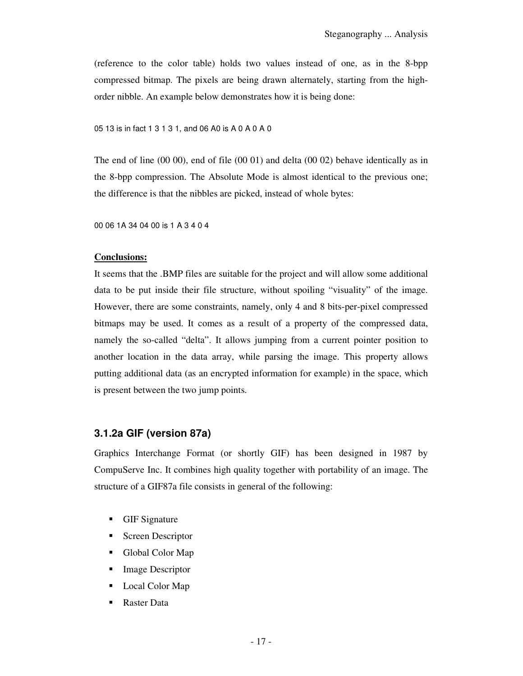(reference to the color table) holds two values instead of one, as in the 8-bpp compressed bitmap. The pixels are being drawn alternately, starting from the highorder nibble. An example below demonstrates how it is being done:

05 13 is in fact 1 3 1 3 1, and 06 A0 is A 0 A 0 A 0

The end of line (00 00), end of file (00 01) and delta (00 02) behave identically as in the 8-bpp compression. The Absolute Mode is almost identical to the previous one; the difference is that the nibbles are picked, instead of whole bytes:

00 06 1A 34 04 00 is 1 A 3 4 0 4

#### **Conclusions:**

It seems that the .BMP files are suitable for the project and will allow some additional data to be put inside their file structure, without spoiling "visuality" of the image. However, there are some constraints, namely, only 4 and 8 bits-per-pixel compressed bitmaps may be used. It comes as a result of a property of the compressed data, namely the so-called "delta". It allows jumping from a current pointer position to another location in the data array, while parsing the image. This property allows putting additional data (as an encrypted information for example) in the space, which is present between the two jump points.

#### **3.1.2a GIF (version 87a)**

Graphics Interchange Format (or shortly GIF) has been designed in 1987 by CompuServe Inc. It combines high quality together with portability of an image. The structure of a GIF87a file consists in general of the following:

- **GIF Signature**
- Screen Descriptor
- Global Color Map
- Image Descriptor
- Local Color Map
- Raster Data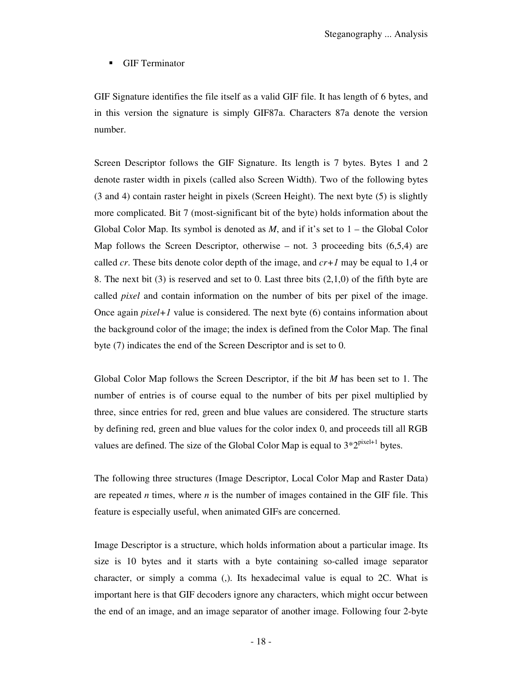GIF Terminator

GIF Signature identifies the file itself as a valid GIF file. It has length of 6 bytes, and in this version the signature is simply GIF87a. Characters 87a denote the version number.

Screen Descriptor follows the GIF Signature. Its length is 7 bytes. Bytes 1 and 2 denote raster width in pixels (called also Screen Width). Two of the following bytes (3 and 4) contain raster height in pixels (Screen Height). The next byte (5) is slightly more complicated. Bit 7 (most-significant bit of the byte) holds information about the Global Color Map. Its symbol is denoted as *M*, and if it's set to 1 – the Global Color Map follows the Screen Descriptor, otherwise – not. 3 proceeding bits  $(6,5,4)$  are called *cr*. These bits denote color depth of the image, and *cr+1* may be equal to 1,4 or 8. The next bit  $(3)$  is reserved and set to 0. Last three bits  $(2,1,0)$  of the fifth byte are called *pixel* and contain information on the number of bits per pixel of the image. Once again  $pixel+1$  value is considered. The next byte (6) contains information about the background color of the image; the index is defined from the Color Map. The final byte (7) indicates the end of the Screen Descriptor and is set to 0.

Global Color Map follows the Screen Descriptor, if the bit *M* has been set to 1. The number of entries is of course equal to the number of bits per pixel multiplied by three, since entries for red, green and blue values are considered. The structure starts by defining red, green and blue values for the color index 0, and proceeds till all RGB values are defined. The size of the Global Color Map is equal to  $3*2^{pixel+1}$  bytes.

The following three structures (Image Descriptor, Local Color Map and Raster Data) are repeated *n* times, where *n* is the number of images contained in the GIF file. This feature is especially useful, when animated GIFs are concerned.

Image Descriptor is a structure, which holds information about a particular image. Its size is 10 bytes and it starts with a byte containing so-called image separator character, or simply a comma (,). Its hexadecimal value is equal to 2C. What is important here is that GIF decoders ignore any characters, which might occur between the end of an image, and an image separator of another image. Following four 2-byte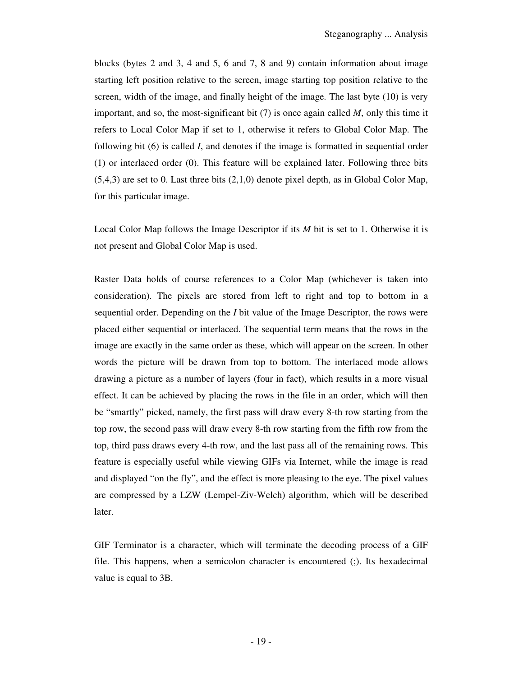blocks (bytes 2 and 3, 4 and 5, 6 and 7, 8 and 9) contain information about image starting left position relative to the screen, image starting top position relative to the screen, width of the image, and finally height of the image. The last byte (10) is very important, and so, the most-significant bit (7) is once again called *M*, only this time it refers to Local Color Map if set to 1, otherwise it refers to Global Color Map. The following bit (6) is called *I*, and denotes if the image is formatted in sequential order (1) or interlaced order (0). This feature will be explained later. Following three bits  $(5,4,3)$  are set to 0. Last three bits  $(2,1,0)$  denote pixel depth, as in Global Color Map, for this particular image.

Local Color Map follows the Image Descriptor if its *M* bit is set to 1. Otherwise it is not present and Global Color Map is used.

Raster Data holds of course references to a Color Map (whichever is taken into consideration). The pixels are stored from left to right and top to bottom in a sequential order. Depending on the *I* bit value of the Image Descriptor, the rows were placed either sequential or interlaced. The sequential term means that the rows in the image are exactly in the same order as these, which will appear on the screen. In other words the picture will be drawn from top to bottom. The interlaced mode allows drawing a picture as a number of layers (four in fact), which results in a more visual effect. It can be achieved by placing the rows in the file in an order, which will then be "smartly" picked, namely, the first pass will draw every 8-th row starting from the top row, the second pass will draw every 8-th row starting from the fifth row from the top, third pass draws every 4-th row, and the last pass all of the remaining rows. This feature is especially useful while viewing GIFs via Internet, while the image is read and displayed "on the fly", and the effect is more pleasing to the eye. The pixel values are compressed by a LZW (Lempel-Ziv-Welch) algorithm, which will be described later.

GIF Terminator is a character, which will terminate the decoding process of a GIF file. This happens, when a semicolon character is encountered (;). Its hexadecimal value is equal to 3B.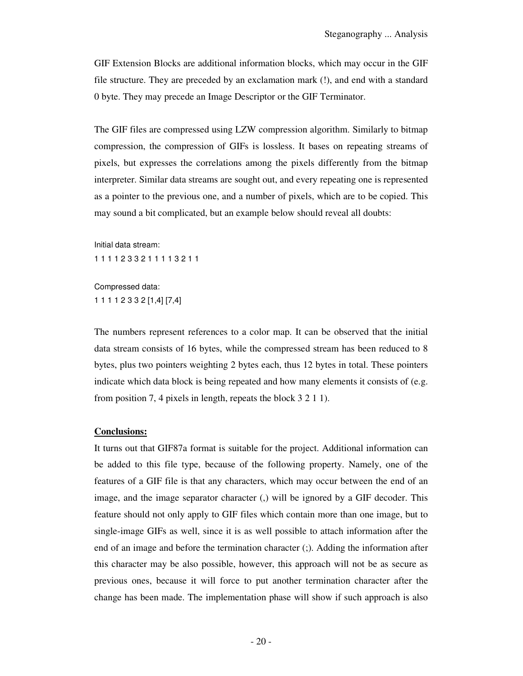GIF Extension Blocks are additional information blocks, which may occur in the GIF file structure. They are preceded by an exclamation mark (!), and end with a standard 0 byte. They may precede an Image Descriptor or the GIF Terminator.

The GIF files are compressed using LZW compression algorithm. Similarly to bitmap compression, the compression of GIFs is lossless. It bases on repeating streams of pixels, but expresses the correlations among the pixels differently from the bitmap interpreter. Similar data streams are sought out, and every repeating one is represented as a pointer to the previous one, and a number of pixels, which are to be copied. This may sound a bit complicated, but an example below should reveal all doubts:

Initial data stream:

1 1 1 1 2 3 3 2 1 1 1 1 3 2 1 1

Compressed data: 1 1 1 1 2 3 3 2 [1,4] [7,4]

The numbers represent references to a color map. It can be observed that the initial data stream consists of 16 bytes, while the compressed stream has been reduced to 8 bytes, plus two pointers weighting 2 bytes each, thus 12 bytes in total. These pointers indicate which data block is being repeated and how many elements it consists of (e.g. from position 7, 4 pixels in length, repeats the block 3 2 1 1).

#### **Conclusions:**

It turns out that GIF87a format is suitable for the project. Additional information can be added to this file type, because of the following property. Namely, one of the features of a GIF file is that any characters, which may occur between the end of an image, and the image separator character (,) will be ignored by a GIF decoder. This feature should not only apply to GIF files which contain more than one image, but to single-image GIFs as well, since it is as well possible to attach information after the end of an image and before the termination character (;). Adding the information after this character may be also possible, however, this approach will not be as secure as previous ones, because it will force to put another termination character after the change has been made. The implementation phase will show if such approach is also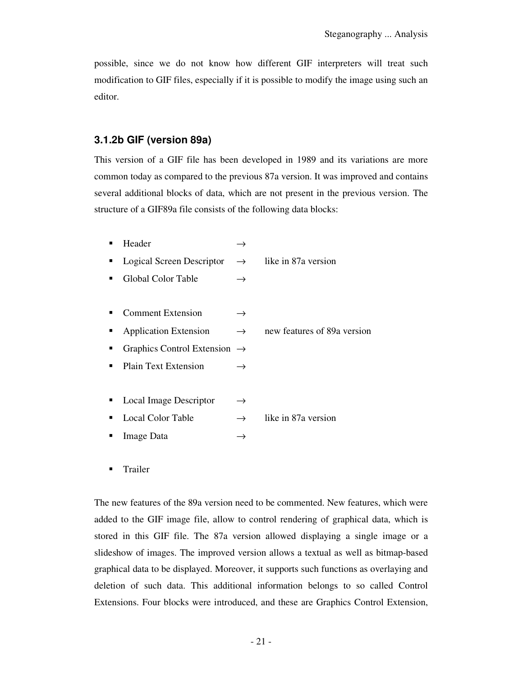possible, since we do not know how different GIF interpreters will treat such modification to GIF files, especially if it is possible to modify the image using such an editor.

### **3.1.2b GIF (version 89a)**

This version of a GIF file has been developed in 1989 and its variations are more common today as compared to the previous 87a version. It was improved and contains several additional blocks of data, which are not present in the previous version. The structure of a GIF89a file consists of the following data blocks:

| Header                                   |               |                             |
|------------------------------------------|---------------|-----------------------------|
| Logical Screen Descriptor                | $\rightarrow$ | like in 87a version         |
| Global Color Table                       | $\rightarrow$ |                             |
|                                          |               |                             |
| <b>Comment Extension</b>                 | $\rightarrow$ |                             |
| <b>Application Extension</b>             | $\rightarrow$ | new features of 89a version |
| Graphics Control Extension $\rightarrow$ |               |                             |
| <b>Plain Text Extension</b>              | $\rightarrow$ |                             |
|                                          |               |                             |
| Local Image Descriptor                   | $\rightarrow$ |                             |
| Local Color Table                        | $\rightarrow$ | like in 87a version         |
| Image Data                               |               |                             |

**Trailer** 

The new features of the 89a version need to be commented. New features, which were added to the GIF image file, allow to control rendering of graphical data, which is stored in this GIF file. The 87a version allowed displaying a single image or a slideshow of images. The improved version allows a textual as well as bitmap-based graphical data to be displayed. Moreover, it supports such functions as overlaying and deletion of such data. This additional information belongs to so called Control Extensions. Four blocks were introduced, and these are Graphics Control Extension,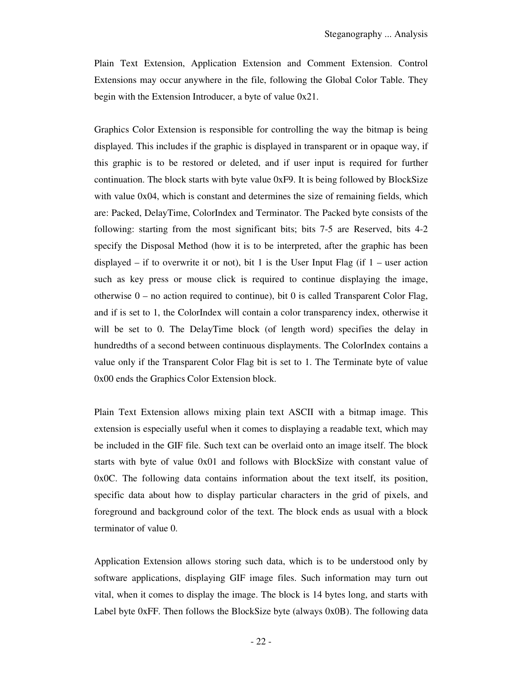Plain Text Extension, Application Extension and Comment Extension. Control Extensions may occur anywhere in the file, following the Global Color Table. They begin with the Extension Introducer, a byte of value 0x21.

Graphics Color Extension is responsible for controlling the way the bitmap is being displayed. This includes if the graphic is displayed in transparent or in opaque way, if this graphic is to be restored or deleted, and if user input is required for further continuation. The block starts with byte value 0xF9. It is being followed by BlockSize with value 0x04, which is constant and determines the size of remaining fields, which are: Packed, DelayTime, ColorIndex and Terminator. The Packed byte consists of the following: starting from the most significant bits; bits 7-5 are Reserved, bits 4-2 specify the Disposal Method (how it is to be interpreted, after the graphic has been displayed – if to overwrite it or not), bit 1 is the User Input Flag (if  $1$  – user action such as key press or mouse click is required to continue displaying the image, otherwise  $0 -$  no action required to continue), bit 0 is called Transparent Color Flag, and if is set to 1, the ColorIndex will contain a color transparency index, otherwise it will be set to 0. The DelayTime block (of length word) specifies the delay in hundredths of a second between continuous displayments. The ColorIndex contains a value only if the Transparent Color Flag bit is set to 1. The Terminate byte of value 0x00 ends the Graphics Color Extension block.

Plain Text Extension allows mixing plain text ASCII with a bitmap image. This extension is especially useful when it comes to displaying a readable text, which may be included in the GIF file. Such text can be overlaid onto an image itself. The block starts with byte of value 0x01 and follows with BlockSize with constant value of 0x0C. The following data contains information about the text itself, its position, specific data about how to display particular characters in the grid of pixels, and foreground and background color of the text. The block ends as usual with a block terminator of value 0.

Application Extension allows storing such data, which is to be understood only by software applications, displaying GIF image files. Such information may turn out vital, when it comes to display the image. The block is 14 bytes long, and starts with Label byte 0xFF. Then follows the BlockSize byte (always 0x0B). The following data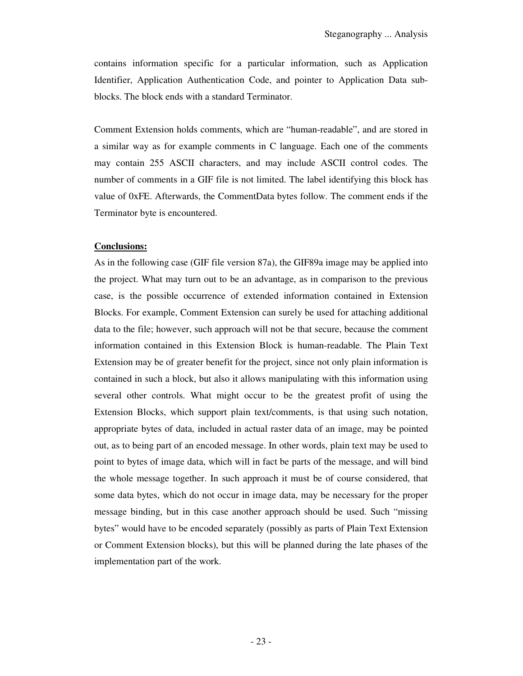contains information specific for a particular information, such as Application Identifier, Application Authentication Code, and pointer to Application Data subblocks. The block ends with a standard Terminator.

Comment Extension holds comments, which are "human-readable", and are stored in a similar way as for example comments in C language. Each one of the comments may contain 255 ASCII characters, and may include ASCII control codes. The number of comments in a GIF file is not limited. The label identifying this block has value of 0xFE. Afterwards, the CommentData bytes follow. The comment ends if the Terminator byte is encountered.

#### **Conclusions:**

As in the following case (GIF file version 87a), the GIF89a image may be applied into the project. What may turn out to be an advantage, as in comparison to the previous case, is the possible occurrence of extended information contained in Extension Blocks. For example, Comment Extension can surely be used for attaching additional data to the file; however, such approach will not be that secure, because the comment information contained in this Extension Block is human-readable. The Plain Text Extension may be of greater benefit for the project, since not only plain information is contained in such a block, but also it allows manipulating with this information using several other controls. What might occur to be the greatest profit of using the Extension Blocks, which support plain text/comments, is that using such notation, appropriate bytes of data, included in actual raster data of an image, may be pointed out, as to being part of an encoded message. In other words, plain text may be used to point to bytes of image data, which will in fact be parts of the message, and will bind the whole message together. In such approach it must be of course considered, that some data bytes, which do not occur in image data, may be necessary for the proper message binding, but in this case another approach should be used. Such "missing bytes" would have to be encoded separately (possibly as parts of Plain Text Extension or Comment Extension blocks), but this will be planned during the late phases of the implementation part of the work.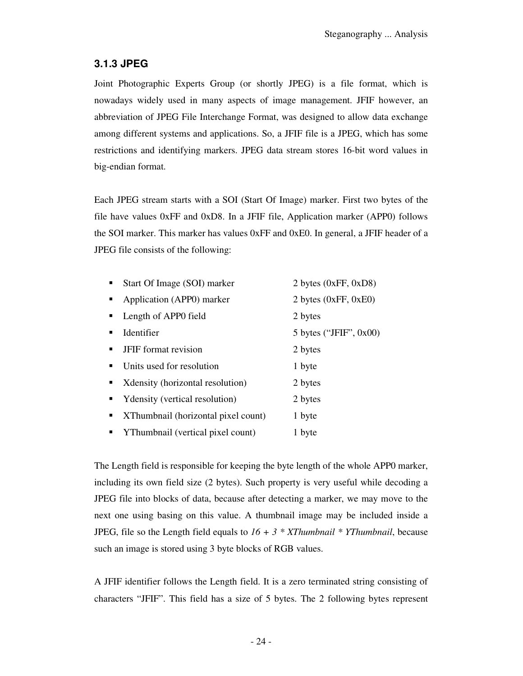## **3.1.3 JPEG**

Joint Photographic Experts Group (or shortly JPEG) is a file format, which is nowadays widely used in many aspects of image management. JFIF however, an abbreviation of JPEG File Interchange Format, was designed to allow data exchange among different systems and applications. So, a JFIF file is a JPEG, which has some restrictions and identifying markers. JPEG data stream stores 16-bit word values in big-endian format.

Each JPEG stream starts with a SOI (Start Of Image) marker. First two bytes of the file have values 0xFF and 0xD8. In a JFIF file, Application marker (APP0) follows the SOI marker. This marker has values 0xFF and 0xE0. In general, a JFIF header of a JPEG file consists of the following:

|                  | Start Of Image (SOI) marker         | 2 bytes $(0xFF, 0xD8)$    |
|------------------|-------------------------------------|---------------------------|
|                  | Application (APP0) marker           | 2 bytes $(0xFF, 0xE0)$    |
|                  | Length of APP0 field                | 2 bytes                   |
| ٠                | Identifier                          | 5 bytes ("JFIF", $0x00$ ) |
|                  | <b>JFIF</b> format revision         | 2 bytes                   |
|                  | Units used for resolution           | 1 byte                    |
|                  | Xdensity (horizontal resolution)    | 2 bytes                   |
| $\blacksquare$ . | Y density (vertical resolution)     | 2 bytes                   |
| ٠                | XThumbnail (horizontal pixel count) | 1 byte                    |
|                  | YThumbnail (vertical pixel count)   | 1 byte                    |

The Length field is responsible for keeping the byte length of the whole APP0 marker, including its own field size (2 bytes). Such property is very useful while decoding a JPEG file into blocks of data, because after detecting a marker, we may move to the next one using basing on this value. A thumbnail image may be included inside a JPEG, file so the Length field equals to *16 + 3 \* XThumbnail \* YThumbnail*, because such an image is stored using 3 byte blocks of RGB values.

A JFIF identifier follows the Length field. It is a zero terminated string consisting of characters "JFIF". This field has a size of 5 bytes. The 2 following bytes represent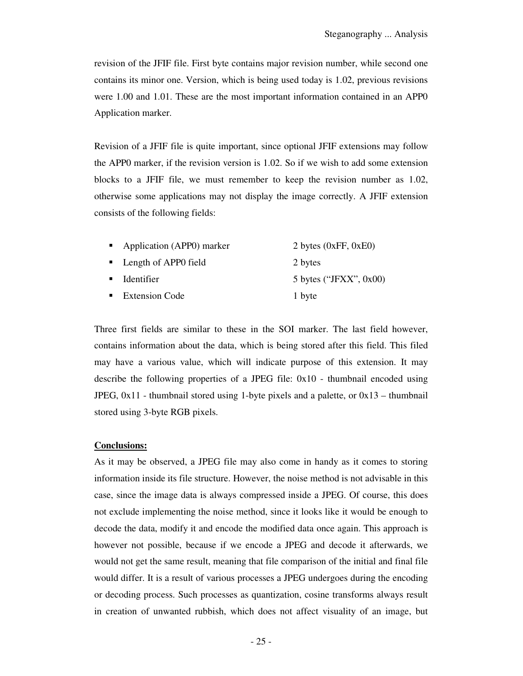revision of the JFIF file. First byte contains major revision number, while second one contains its minor one. Version, which is being used today is 1.02, previous revisions were 1.00 and 1.01. These are the most important information contained in an APP0 Application marker.

Revision of a JFIF file is quite important, since optional JFIF extensions may follow the APP0 marker, if the revision version is 1.02. So if we wish to add some extension blocks to a JFIF file, we must remember to keep the revision number as 1.02, otherwise some applications may not display the image correctly. A JFIF extension consists of the following fields:

| • Application (APP0) marker | 2 bytes $(0xFF, 0xE0)$    |
|-----------------------------|---------------------------|
| • Length of APP0 field      | 2 bytes                   |
| $\blacksquare$ Identifier   | 5 bytes ("JFXX", $0x00$ ) |
| • Extension Code            | 1 byte                    |

Three first fields are similar to these in the SOI marker. The last field however, contains information about the data, which is being stored after this field. This filed may have a various value, which will indicate purpose of this extension. It may describe the following properties of a JPEG file: 0x10 - thumbnail encoded using JPEG,  $0x11$  - thumbnail stored using 1-byte pixels and a palette, or  $0x13$  – thumbnail stored using 3-byte RGB pixels.

#### **Conclusions:**

As it may be observed, a JPEG file may also come in handy as it comes to storing information inside its file structure. However, the noise method is not advisable in this case, since the image data is always compressed inside a JPEG. Of course, this does not exclude implementing the noise method, since it looks like it would be enough to decode the data, modify it and encode the modified data once again. This approach is however not possible, because if we encode a JPEG and decode it afterwards, we would not get the same result, meaning that file comparison of the initial and final file would differ. It is a result of various processes a JPEG undergoes during the encoding or decoding process. Such processes as quantization, cosine transforms always result in creation of unwanted rubbish, which does not affect visuality of an image, but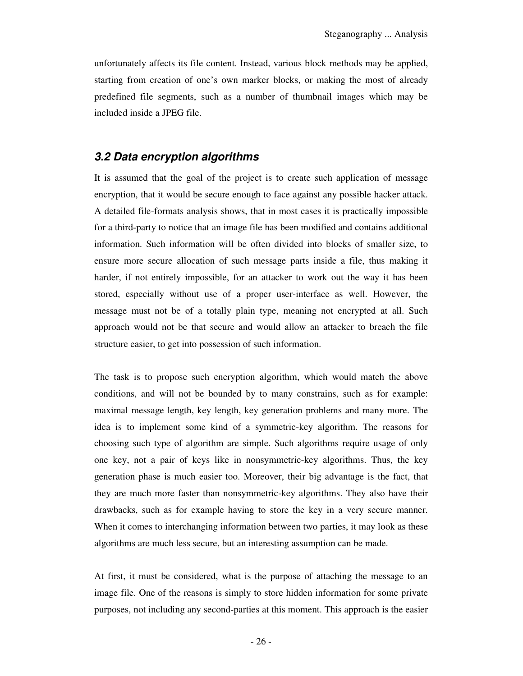unfortunately affects its file content. Instead, various block methods may be applied, starting from creation of one's own marker blocks, or making the most of already predefined file segments, such as a number of thumbnail images which may be included inside a JPEG file.

## **3.2 Data encryption algorithms**

It is assumed that the goal of the project is to create such application of message encryption, that it would be secure enough to face against any possible hacker attack. A detailed file-formats analysis shows, that in most cases it is practically impossible for a third-party to notice that an image file has been modified and contains additional information. Such information will be often divided into blocks of smaller size, to ensure more secure allocation of such message parts inside a file, thus making it harder, if not entirely impossible, for an attacker to work out the way it has been stored, especially without use of a proper user-interface as well. However, the message must not be of a totally plain type, meaning not encrypted at all. Such approach would not be that secure and would allow an attacker to breach the file structure easier, to get into possession of such information.

The task is to propose such encryption algorithm, which would match the above conditions, and will not be bounded by to many constrains, such as for example: maximal message length, key length, key generation problems and many more. The idea is to implement some kind of a symmetric-key algorithm. The reasons for choosing such type of algorithm are simple. Such algorithms require usage of only one key, not a pair of keys like in nonsymmetric-key algorithms. Thus, the key generation phase is much easier too. Moreover, their big advantage is the fact, that they are much more faster than nonsymmetric-key algorithms. They also have their drawbacks, such as for example having to store the key in a very secure manner. When it comes to interchanging information between two parties, it may look as these algorithms are much less secure, but an interesting assumption can be made.

At first, it must be considered, what is the purpose of attaching the message to an image file. One of the reasons is simply to store hidden information for some private purposes, not including any second-parties at this moment. This approach is the easier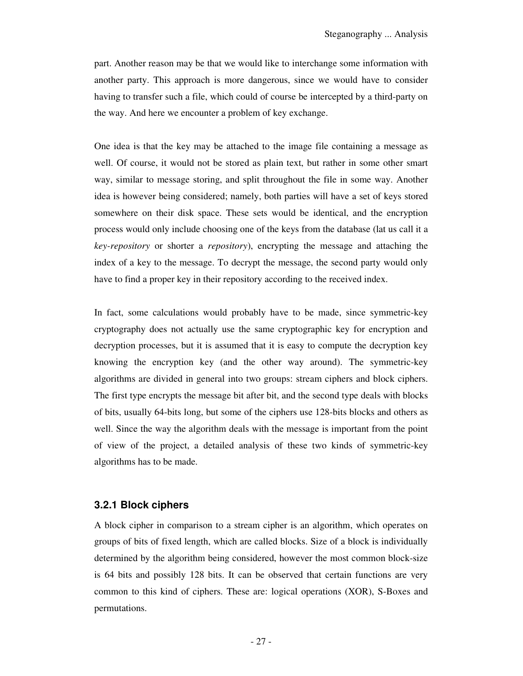part. Another reason may be that we would like to interchange some information with another party. This approach is more dangerous, since we would have to consider having to transfer such a file, which could of course be intercepted by a third-party on the way. And here we encounter a problem of key exchange.

One idea is that the key may be attached to the image file containing a message as well. Of course, it would not be stored as plain text, but rather in some other smart way, similar to message storing, and split throughout the file in some way. Another idea is however being considered; namely, both parties will have a set of keys stored somewhere on their disk space. These sets would be identical, and the encryption process would only include choosing one of the keys from the database (lat us call it a *key-repository* or shorter a *repository*), encrypting the message and attaching the index of a key to the message. To decrypt the message, the second party would only have to find a proper key in their repository according to the received index.

In fact, some calculations would probably have to be made, since symmetric-key cryptography does not actually use the same cryptographic key for encryption and decryption processes, but it is assumed that it is easy to compute the decryption key knowing the encryption key (and the other way around). The symmetric-key algorithms are divided in general into two groups: stream ciphers and block ciphers. The first type encrypts the message bit after bit, and the second type deals with blocks of bits, usually 64-bits long, but some of the ciphers use 128-bits blocks and others as well. Since the way the algorithm deals with the message is important from the point of view of the project, a detailed analysis of these two kinds of symmetric-key algorithms has to be made.

#### **3.2.1 Block ciphers**

A block cipher in comparison to a stream cipher is an algorithm, which operates on groups of bits of fixed length, which are called blocks. Size of a block is individually determined by the algorithm being considered, however the most common block-size is 64 bits and possibly 128 bits. It can be observed that certain functions are very common to this kind of ciphers. These are: logical operations (XOR), S-Boxes and permutations.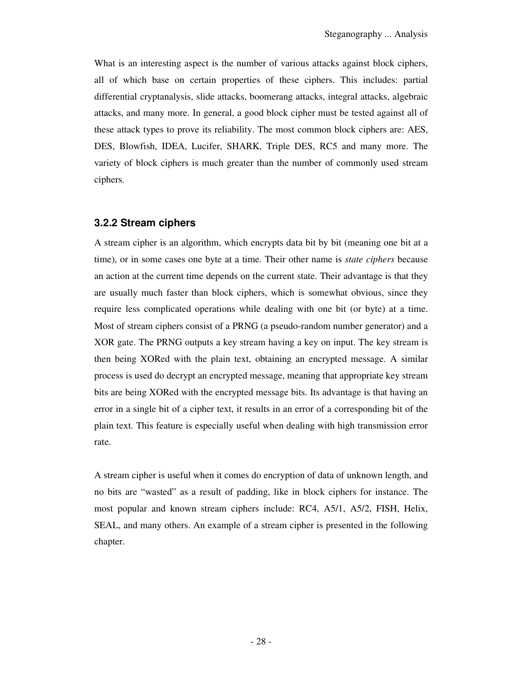What is an interesting aspect is the number of various attacks against block ciphers, all of which base on certain properties of these ciphers. This includes: partial differential cryptanalysis, slide attacks, boomerang attacks, integral attacks, algebraic attacks, and many more. In general, a good block cipher must be tested against all of these attack types to prove its reliability. The most common block ciphers are: AES, DES, Blowfish, IDEA, Lucifer, SHARK, Triple DES, RC5 and many more. The variety of block ciphers is much greater than the number of commonly used stream ciphers.

#### **3.2.2 Stream ciphers**

A stream cipher is an algorithm, which encrypts data bit by bit (meaning one bit at a time), or in some cases one byte at a time. Their other name is *state ciphers* because an action at the current time depends on the current state. Their advantage is that they are usually much faster than block ciphers, which is somewhat obvious, since they require less complicated operations while dealing with one bit (or byte) at a time. Most of stream ciphers consist of a PRNG (a pseudo-random number generator) and a XOR gate. The PRNG outputs a key stream having a key on input. The key stream is then being XORed with the plain text, obtaining an encrypted message. A similar process is used do decrypt an encrypted message, meaning that appropriate key stream bits are being XORed with the encrypted message bits. Its advantage is that having an error in a single bit of a cipher text, it results in an error of a corresponding bit of the plain text. This feature is especially useful when dealing with high transmission error rate.

A stream cipher is useful when it comes do encryption of data of unknown length, and no bits are "wasted" as a result of padding, like in block ciphers for instance. The most popular and known stream ciphers include: RC4, A5/1, A5/2, FISH, Helix, SEAL, and many others. An example of a stream cipher is presented in the following chapter.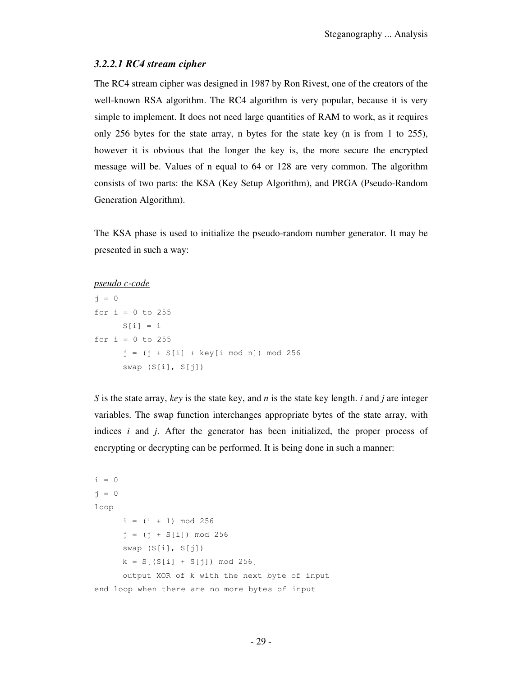#### *3.2.2.1 RC4 stream cipher*

The RC4 stream cipher was designed in 1987 by Ron Rivest, one of the creators of the well-known RSA algorithm. The RC4 algorithm is very popular, because it is very simple to implement. It does not need large quantities of RAM to work, as it requires only 256 bytes for the state array, n bytes for the state key (n is from 1 to 255), however it is obvious that the longer the key is, the more secure the encrypted message will be. Values of n equal to 64 or 128 are very common. The algorithm consists of two parts: the KSA (Key Setup Algorithm), and PRGA (Pseudo-Random Generation Algorithm).

The KSA phase is used to initialize the pseudo-random number generator. It may be presented in such a way:

#### *pseudo c-code*

```
j = 0for i = 0 to 255
     S[i] = ifor i = 0 to 255
     j = (j + S[i] + key[i \mod n]) \mod 256 swap (S[i], S[j])
```
*S* is the state array, *key* is the state key, and *n* is the state key length. *i* and *j* are integer variables. The swap function interchanges appropriate bytes of the state array, with indices *i* and *j*. After the generator has been initialized, the proper process of encrypting or decrypting can be performed. It is being done in such a manner:

```
i = 0j = 0loop 
     i = (i + 1) \mod 256j = (j + S[i]) \mod 256 swap (S[i], S[j]) 
     k = S[(S[i] + S[j]) \mod 256] output XOR of k with the next byte of input 
end loop when there are no more bytes of input
```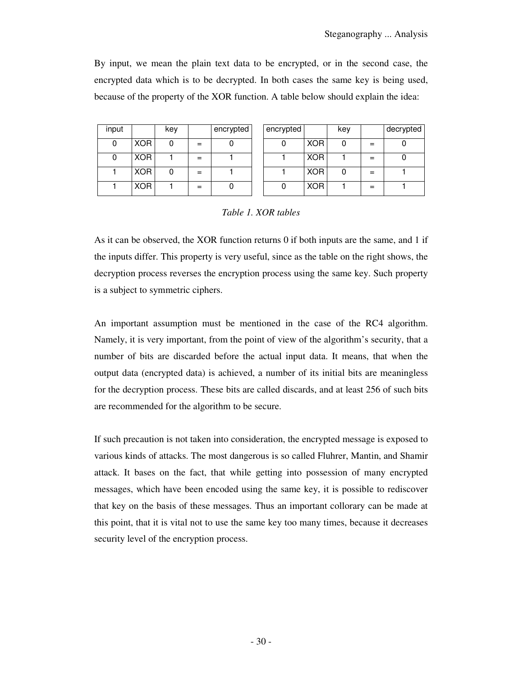By input, we mean the plain text data to be encrypted, or in the second case, the encrypted data which is to be decrypted. In both cases the same key is being used, because of the property of the XOR function. A table below should explain the idea:

| input |            | key |     | encrypted |
|-------|------------|-----|-----|-----------|
|       | <b>XOR</b> |     | =   |           |
|       | <b>XOR</b> |     | $=$ |           |
|       | <b>XOR</b> |     | =   |           |
|       | <b>XOR</b> |     | =   |           |

| input |            | key |     | encrypted | encrypted |            | key |     | decrypted |
|-------|------------|-----|-----|-----------|-----------|------------|-----|-----|-----------|
|       | <b>XOR</b> |     |     |           |           | <b>XOR</b> | 0   |     |           |
|       | <b>XOR</b> |     | $=$ |           |           | <b>XOR</b> |     | =   |           |
|       | <b>XOR</b> |     |     |           |           | <b>XOR</b> | 0   | $=$ |           |
|       | <b>XOR</b> |     | $=$ |           |           | <b>XOR</b> |     |     |           |

#### *Table 1. XOR tables*

As it can be observed, the XOR function returns 0 if both inputs are the same, and 1 if the inputs differ. This property is very useful, since as the table on the right shows, the decryption process reverses the encryption process using the same key. Such property is a subject to symmetric ciphers.

An important assumption must be mentioned in the case of the RC4 algorithm. Namely, it is very important, from the point of view of the algorithm's security, that a number of bits are discarded before the actual input data. It means, that when the output data (encrypted data) is achieved, a number of its initial bits are meaningless for the decryption process. These bits are called discards, and at least 256 of such bits are recommended for the algorithm to be secure.

If such precaution is not taken into consideration, the encrypted message is exposed to various kinds of attacks. The most dangerous is so called Fluhrer, Mantin, and Shamir attack. It bases on the fact, that while getting into possession of many encrypted messages, which have been encoded using the same key, it is possible to rediscover that key on the basis of these messages. Thus an important collorary can be made at this point, that it is vital not to use the same key too many times, because it decreases security level of the encryption process.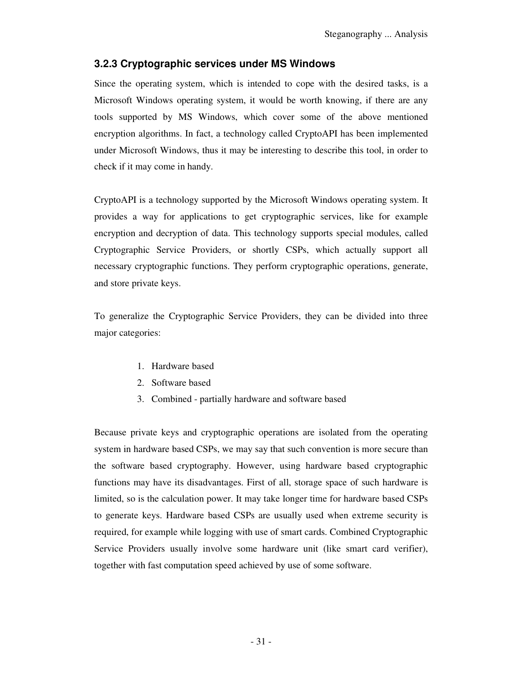## **3.2.3 Cryptographic services under MS Windows**

Since the operating system, which is intended to cope with the desired tasks, is a Microsoft Windows operating system, it would be worth knowing, if there are any tools supported by MS Windows, which cover some of the above mentioned encryption algorithms. In fact, a technology called CryptoAPI has been implemented under Microsoft Windows, thus it may be interesting to describe this tool, in order to check if it may come in handy.

CryptoAPI is a technology supported by the Microsoft Windows operating system. It provides a way for applications to get cryptographic services, like for example encryption and decryption of data. This technology supports special modules, called Cryptographic Service Providers, or shortly CSPs, which actually support all necessary cryptographic functions. They perform cryptographic operations, generate, and store private keys.

To generalize the Cryptographic Service Providers, they can be divided into three major categories:

- 1. Hardware based
- 2. Software based
- 3. Combined partially hardware and software based

Because private keys and cryptographic operations are isolated from the operating system in hardware based CSPs, we may say that such convention is more secure than the software based cryptography. However, using hardware based cryptographic functions may have its disadvantages. First of all, storage space of such hardware is limited, so is the calculation power. It may take longer time for hardware based CSPs to generate keys. Hardware based CSPs are usually used when extreme security is required, for example while logging with use of smart cards. Combined Cryptographic Service Providers usually involve some hardware unit (like smart card verifier), together with fast computation speed achieved by use of some software.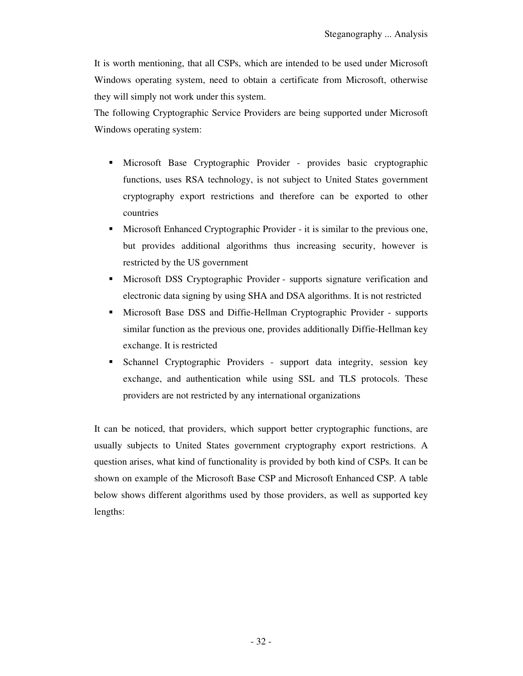It is worth mentioning, that all CSPs, which are intended to be used under Microsoft Windows operating system, need to obtain a certificate from Microsoft, otherwise they will simply not work under this system.

The following Cryptographic Service Providers are being supported under Microsoft Windows operating system:

- Microsoft Base Cryptographic Provider provides basic cryptographic functions, uses RSA technology, is not subject to United States government cryptography export restrictions and therefore can be exported to other countries
- Microsoft Enhanced Cryptographic Provider it is similar to the previous one, but provides additional algorithms thus increasing security, however is restricted by the US government
- Microsoft DSS Cryptographic Provider supports signature verification and electronic data signing by using SHA and DSA algorithms. It is not restricted
- Microsoft Base DSS and Diffie-Hellman Cryptographic Provider supports similar function as the previous one, provides additionally Diffie-Hellman key exchange. It is restricted
- Schannel Cryptographic Providers support data integrity, session key exchange, and authentication while using SSL and TLS protocols. These providers are not restricted by any international organizations

It can be noticed, that providers, which support better cryptographic functions, are usually subjects to United States government cryptography export restrictions. A question arises, what kind of functionality is provided by both kind of CSPs. It can be shown on example of the Microsoft Base CSP and Microsoft Enhanced CSP. A table below shows different algorithms used by those providers, as well as supported key lengths: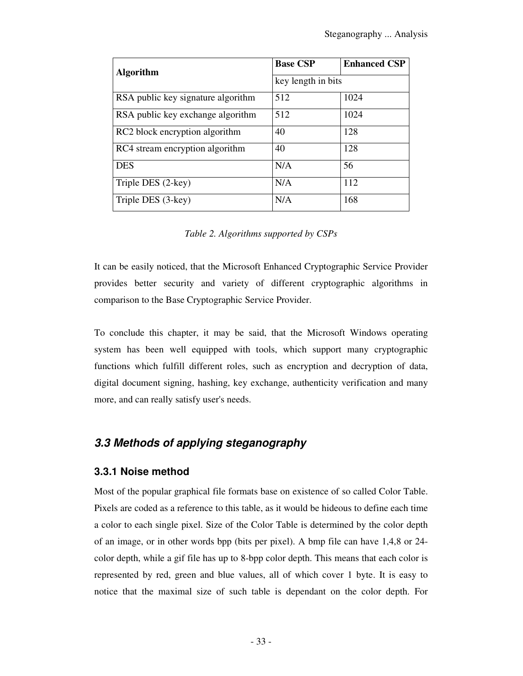| <b>Algorithm</b>                   | <b>Base CSP</b>    | <b>Enhanced CSP</b> |  |  |
|------------------------------------|--------------------|---------------------|--|--|
|                                    | key length in bits |                     |  |  |
| RSA public key signature algorithm | 512                | 1024                |  |  |
| RSA public key exchange algorithm  | 512                | 1024                |  |  |
| RC2 block encryption algorithm     | 40                 | 128                 |  |  |
| RC4 stream encryption algorithm    | 40                 | 128                 |  |  |
| <b>DES</b>                         | N/A                | 56                  |  |  |
| Triple DES (2-key)                 | N/A                | 112                 |  |  |
| Triple DES (3-key)                 | N/A                | 168                 |  |  |

*Table 2. Algorithms supported by CSPs* 

It can be easily noticed, that the Microsoft Enhanced Cryptographic Service Provider provides better security and variety of different cryptographic algorithms in comparison to the Base Cryptographic Service Provider.

To conclude this chapter, it may be said, that the Microsoft Windows operating system has been well equipped with tools, which support many cryptographic functions which fulfill different roles, such as encryption and decryption of data, digital document signing, hashing, key exchange, authenticity verification and many more, and can really satisfy user's needs.

## **3.3 Methods of applying steganography**

## **3.3.1 Noise method**

Most of the popular graphical file formats base on existence of so called Color Table. Pixels are coded as a reference to this table, as it would be hideous to define each time a color to each single pixel. Size of the Color Table is determined by the color depth of an image, or in other words bpp (bits per pixel). A bmp file can have 1,4,8 or 24 color depth, while a gif file has up to 8-bpp color depth. This means that each color is represented by red, green and blue values, all of which cover 1 byte. It is easy to notice that the maximal size of such table is dependant on the color depth. For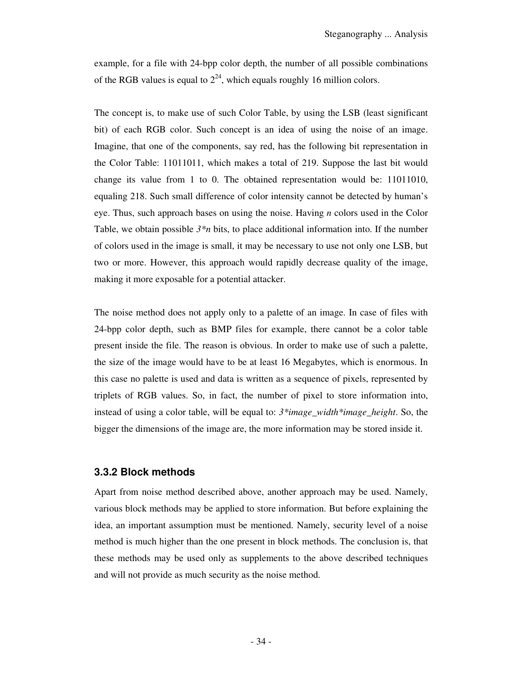example, for a file with 24-bpp color depth, the number of all possible combinations of the RGB values is equal to  $2^{24}$ , which equals roughly 16 million colors.

The concept is, to make use of such Color Table, by using the LSB (least significant bit) of each RGB color. Such concept is an idea of using the noise of an image. Imagine, that one of the components, say red, has the following bit representation in the Color Table: 11011011, which makes a total of 219. Suppose the last bit would change its value from 1 to 0. The obtained representation would be: 11011010, equaling 218. Such small difference of color intensity cannot be detected by human's eye. Thus, such approach bases on using the noise. Having *n* colors used in the Color Table, we obtain possible *3\*n* bits, to place additional information into. If the number of colors used in the image is small, it may be necessary to use not only one LSB, but two or more. However, this approach would rapidly decrease quality of the image, making it more exposable for a potential attacker.

The noise method does not apply only to a palette of an image. In case of files with 24-bpp color depth, such as BMP files for example, there cannot be a color table present inside the file. The reason is obvious. In order to make use of such a palette, the size of the image would have to be at least 16 Megabytes, which is enormous. In this case no palette is used and data is written as a sequence of pixels, represented by triplets of RGB values. So, in fact, the number of pixel to store information into, instead of using a color table, will be equal to: *3\*image\_width\*image\_height*. So, the bigger the dimensions of the image are, the more information may be stored inside it.

#### **3.3.2 Block methods**

Apart from noise method described above, another approach may be used. Namely, various block methods may be applied to store information. But before explaining the idea, an important assumption must be mentioned. Namely, security level of a noise method is much higher than the one present in block methods. The conclusion is, that these methods may be used only as supplements to the above described techniques and will not provide as much security as the noise method.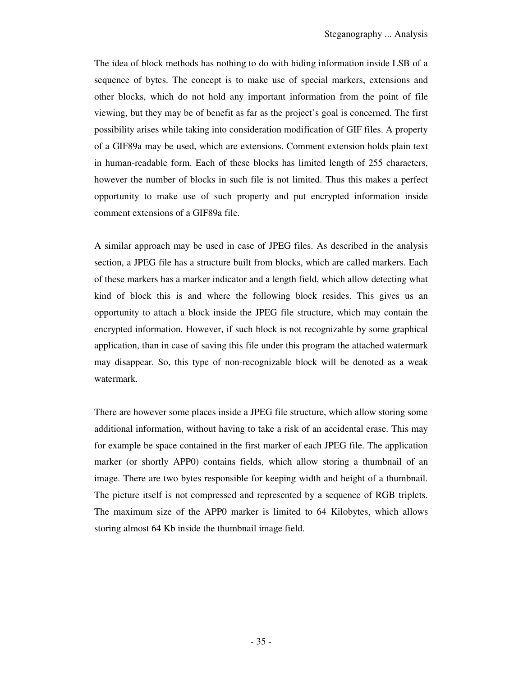The idea of block methods has nothing to do with hiding information inside LSB of a sequence of bytes. The concept is to make use of special markers, extensions and other blocks, which do not hold any important information from the point of file viewing, but they may be of benefit as far as the project's goal is concerned. The first possibility arises while taking into consideration modification of GIF files. A property of a GIF89a may be used, which are extensions. Comment extension holds plain text in human-readable form. Each of these blocks has limited length of 255 characters, however the number of blocks in such file is not limited. Thus this makes a perfect opportunity to make use of such property and put encrypted information inside comment extensions of a GIF89a file.

A similar approach may be used in case of JPEG files. As described in the analysis section, a JPEG file has a structure built from blocks, which are called markers. Each of these markers has a marker indicator and a length field, which allow detecting what kind of block this is and where the following block resides. This gives us an opportunity to attach a block inside the JPEG file structure, which may contain the encrypted information. However, if such block is not recognizable by some graphical application, than in case of saving this file under this program the attached watermark may disappear. So, this type of non-recognizable block will be denoted as a weak watermark.

There are however some places inside a JPEG file structure, which allow storing some additional information, without having to take a risk of an accidental erase. This may for example be space contained in the first marker of each JPEG file. The application marker (or shortly APP0) contains fields, which allow storing a thumbnail of an image. There are two bytes responsible for keeping width and height of a thumbnail. The picture itself is not compressed and represented by a sequence of RGB triplets. The maximum size of the APP0 marker is limited to 64 Kilobytes, which allows storing almost 64 Kb inside the thumbnail image field.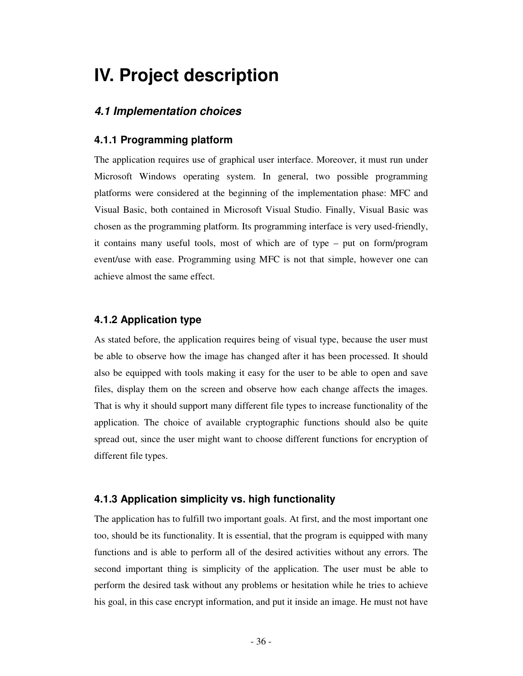## **IV. Project description**

## **4.1 Implementation choices**

#### **4.1.1 Programming platform**

The application requires use of graphical user interface. Moreover, it must run under Microsoft Windows operating system. In general, two possible programming platforms were considered at the beginning of the implementation phase: MFC and Visual Basic, both contained in Microsoft Visual Studio. Finally, Visual Basic was chosen as the programming platform. Its programming interface is very used-friendly, it contains many useful tools, most of which are of type – put on form/program event/use with ease. Programming using MFC is not that simple, however one can achieve almost the same effect.

#### **4.1.2 Application type**

As stated before, the application requires being of visual type, because the user must be able to observe how the image has changed after it has been processed. It should also be equipped with tools making it easy for the user to be able to open and save files, display them on the screen and observe how each change affects the images. That is why it should support many different file types to increase functionality of the application. The choice of available cryptographic functions should also be quite spread out, since the user might want to choose different functions for encryption of different file types.

#### **4.1.3 Application simplicity vs. high functionality**

The application has to fulfill two important goals. At first, and the most important one too, should be its functionality. It is essential, that the program is equipped with many functions and is able to perform all of the desired activities without any errors. The second important thing is simplicity of the application. The user must be able to perform the desired task without any problems or hesitation while he tries to achieve his goal, in this case encrypt information, and put it inside an image. He must not have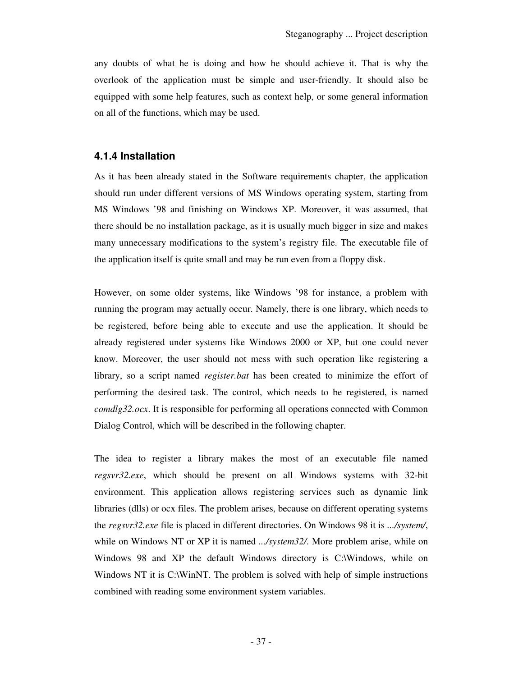any doubts of what he is doing and how he should achieve it. That is why the overlook of the application must be simple and user-friendly. It should also be equipped with some help features, such as context help, or some general information on all of the functions, which may be used.

### **4.1.4 Installation**

As it has been already stated in the Software requirements chapter, the application should run under different versions of MS Windows operating system, starting from MS Windows '98 and finishing on Windows XP. Moreover, it was assumed, that there should be no installation package, as it is usually much bigger in size and makes many unnecessary modifications to the system's registry file. The executable file of the application itself is quite small and may be run even from a floppy disk.

However, on some older systems, like Windows '98 for instance, a problem with running the program may actually occur. Namely, there is one library, which needs to be registered, before being able to execute and use the application. It should be already registered under systems like Windows 2000 or XP, but one could never know. Moreover, the user should not mess with such operation like registering a library, so a script named *register.bat* has been created to minimize the effort of performing the desired task. The control, which needs to be registered, is named *comdlg32.ocx*. It is responsible for performing all operations connected with Common Dialog Control, which will be described in the following chapter.

The idea to register a library makes the most of an executable file named *regsvr32.exe*, which should be present on all Windows systems with 32-bit environment. This application allows registering services such as dynamic link libraries (dlls) or ocx files. The problem arises, because on different operating systems the *regsvr32.exe* file is placed in different directories. On Windows 98 it is *.../system/*, while on Windows NT or XP it is named *.../system32/*. More problem arise, while on Windows 98 and XP the default Windows directory is C:\Windows, while on Windows NT it is C:\WinNT. The problem is solved with help of simple instructions combined with reading some environment system variables.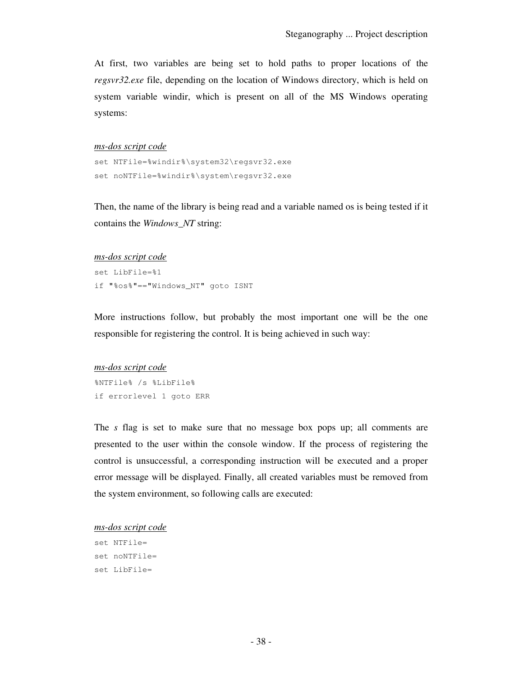At first, two variables are being set to hold paths to proper locations of the *regsvr32.exe* file, depending on the location of Windows directory, which is held on system variable windir, which is present on all of the MS Windows operating systems:

#### *ms-dos script code*

```
set NTFile=%windir%\system32\regsvr32.exe 
set noNTFile=%windir%\system\regsvr32.exe
```
Then, the name of the library is being read and a variable named os is being tested if it contains the *Windows\_NT* string:

#### *ms-dos script code*

```
set LibFile=%1 
if "%os%"=="Windows_NT" goto ISNT
```
More instructions follow, but probably the most important one will be the one responsible for registering the control. It is being achieved in such way:

## *ms-dos script code*

%NTFile% /s %LibFile% if errorlevel 1 goto ERR

The *s* flag is set to make sure that no message box pops up; all comments are presented to the user within the console window. If the process of registering the control is unsuccessful, a corresponding instruction will be executed and a proper error message will be displayed. Finally, all created variables must be removed from the system environment, so following calls are executed:

#### *ms-dos script code*

```
set NTFile= 
set noNTFile= 
set LibFile=
```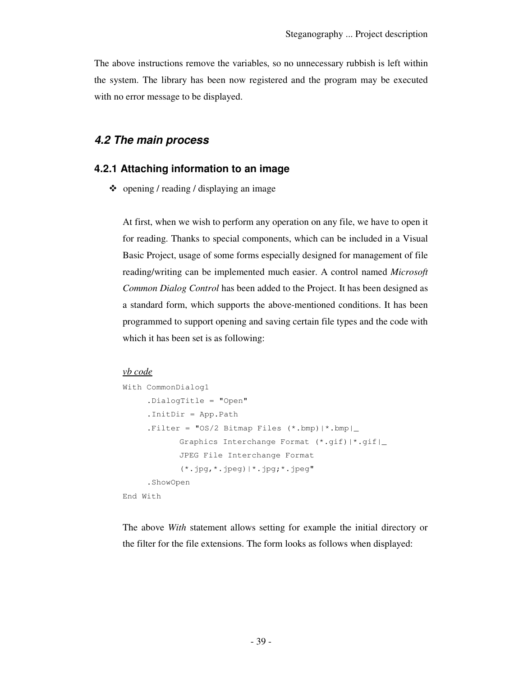The above instructions remove the variables, so no unnecessary rubbish is left within the system. The library has been now registered and the program may be executed with no error message to be displayed.

## **4.2 The main process**

### **4.2.1 Attaching information to an image**

- opening / reading / displaying an image

At first, when we wish to perform any operation on any file, we have to open it for reading. Thanks to special components, which can be included in a Visual Basic Project, usage of some forms especially designed for management of file reading/writing can be implemented much easier. A control named *Microsoft Common Dialog Control* has been added to the Project. It has been designed as a standard form, which supports the above-mentioned conditions. It has been programmed to support opening and saving certain file types and the code with which it has been set is as following:

#### *vb code*

```
With CommonDialog1 
      .DialogTitle = "Open" 
      .InitDir = App.Path 
     .Filter = \text{TS}/2 Bitmap Files (*.bmp)|*.bmp|
             Graphics Interchange Format (*.gif)|*.gif|_ 
             JPEG File Interchange Format 
             (*.jpg,*.jpeg)|*.jpg;*.jpeg" 
      .ShowOpen 
End With
```
The above *With* statement allows setting for example the initial directory or the filter for the file extensions. The form looks as follows when displayed: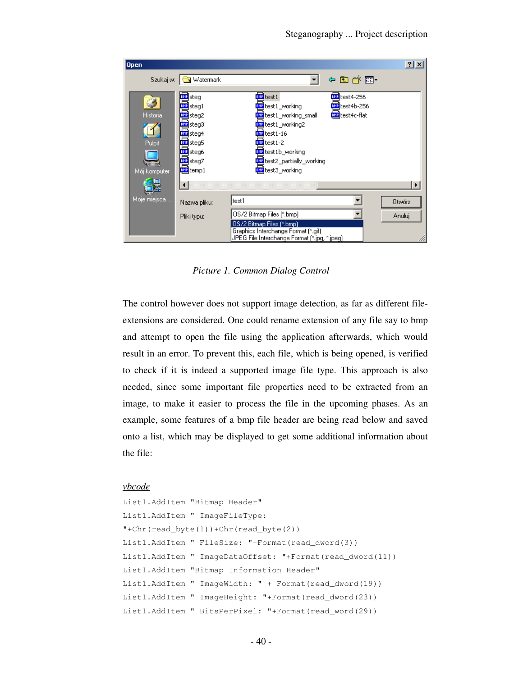

*Picture 1. Common Dialog Control* 

The control however does not support image detection, as far as different fileextensions are considered. One could rename extension of any file say to bmp and attempt to open the file using the application afterwards, which would result in an error. To prevent this, each file, which is being opened, is verified to check if it is indeed a supported image file type. This approach is also needed, since some important file properties need to be extracted from an image, to make it easier to process the file in the upcoming phases. As an example, some features of a bmp file header are being read below and saved onto a list, which may be displayed to get some additional information about the file:

#### *vbcode*

```
List1.AddItem "Bitmap Header" 
List1.AddItem " ImageFileType: 
"+Chr(read_byte(1))+Chr(read_byte(2)) 
List1.AddItem " FileSize: "+Format(read_dword(3)) 
List1.AddItem " ImageDataOffset: "+Format(read_dword(11))
List1.AddItem "Bitmap Information Header" 
List1.AddItem " ImageWidth: " + Format(read_dword(19)) 
List1.AddItem " ImageHeight: "+Format(read_dword(23))
List1.AddItem " BitsPerPixel: "+Format(read_word(29))
```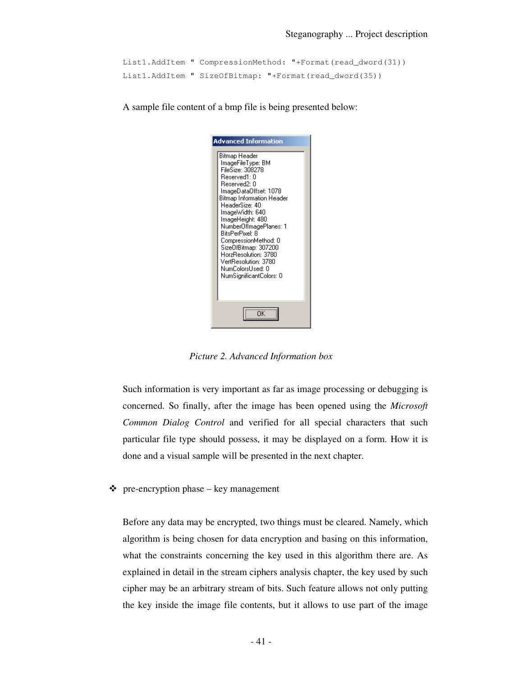```
List1.AddItem " CompressionMethod: "+Format(read_dword(31)) 
List1.AddItem " SizeOfBitmap: "+Format(read_dword(35))
```
A sample file content of a bmp file is being presented below:

| Advanced Information                                                                                                                                                                                                                                                                                                                                                                                            |  |  |  |  |  |
|-----------------------------------------------------------------------------------------------------------------------------------------------------------------------------------------------------------------------------------------------------------------------------------------------------------------------------------------------------------------------------------------------------------------|--|--|--|--|--|
| Bitmap Header<br>ImageFileType: BM<br>FileSize: 308278<br>Reserved1: 0<br>Reserved2: 0<br>ImageDataOffset: 1078<br><b>Bitmap Information Header</b><br>HeaderSize: 40<br>lmageWidth: 640<br>ImageHeight: 480<br>NumberOfImagePlanes: 1<br><b>BitsPerPixel: 8</b><br>CompressionMethod: 0<br>SizeOfBitmap: 307200<br>HorzResolution: 3780<br>VertResolution: 3780<br>NumColorsUsed: 0<br>NumSignificantColors: 0 |  |  |  |  |  |
|                                                                                                                                                                                                                                                                                                                                                                                                                 |  |  |  |  |  |

*Picture 2. Advanced Information box* 

Such information is very important as far as image processing or debugging is concerned. So finally, after the image has been opened using the *Microsoft Common Dialog Control* and verified for all special characters that such particular file type should possess, it may be displayed on a form. How it is done and a visual sample will be presented in the next chapter.

- pre-encryption phase – key management

Before any data may be encrypted, two things must be cleared. Namely, which algorithm is being chosen for data encryption and basing on this information, what the constraints concerning the key used in this algorithm there are. As explained in detail in the stream ciphers analysis chapter, the key used by such cipher may be an arbitrary stream of bits. Such feature allows not only putting the key inside the image file contents, but it allows to use part of the image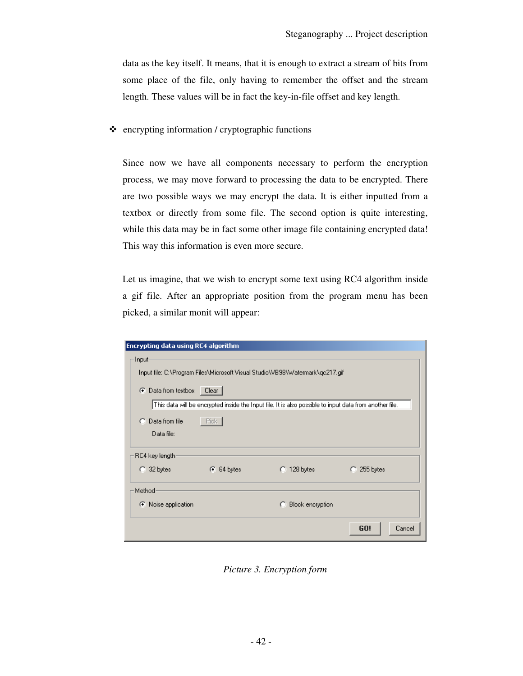data as the key itself. It means, that it is enough to extract a stream of bits from some place of the file, only having to remember the offset and the stream length. These values will be in fact the key-in-file offset and key length.

- encrypting information / cryptographic functions

Since now we have all components necessary to perform the encryption process, we may move forward to processing the data to be encrypted. There are two possible ways we may encrypt the data. It is either inputted from a textbox or directly from some file. The second option is quite interesting, while this data may be in fact some other image file containing encrypted data! This way this information is even more secure.

Let us imagine, that we wish to encrypt some text using RC4 algorithm inside a gif file. After an appropriate position from the program menu has been picked, a similar monit will appear:

| Encrypting data using RC4 algorithm                                           |              |                                                                                                         |               |  |  |  |  |  |
|-------------------------------------------------------------------------------|--------------|---------------------------------------------------------------------------------------------------------|---------------|--|--|--|--|--|
| Input-                                                                        |              |                                                                                                         |               |  |  |  |  |  |
| Input file: C:\Program Files\Microsoft Visual Studio\VB98\Watermark\qc217.gif |              |                                                                                                         |               |  |  |  |  |  |
| Data from textbox Clear<br>G.                                                 |              |                                                                                                         |               |  |  |  |  |  |
|                                                                               |              | This data will be encrypted inside the Input file. It is also possible to input data from another file. |               |  |  |  |  |  |
| Data from file<br>o                                                           | - Pick       |                                                                                                         |               |  |  |  |  |  |
| Data file:                                                                    |              |                                                                                                         |               |  |  |  |  |  |
| RC4 key length:                                                               |              |                                                                                                         |               |  |  |  |  |  |
| $\bigcirc$ 32 bytes                                                           | $6.64$ bytes | $\bigcirc$ 128 bytes                                                                                    | 255 bytes     |  |  |  |  |  |
| Method<br>← Noise application                                                 |              | Block encryption<br>o                                                                                   |               |  |  |  |  |  |
|                                                                               |              |                                                                                                         | GO!<br>Cancel |  |  |  |  |  |

*Picture 3. Encryption form*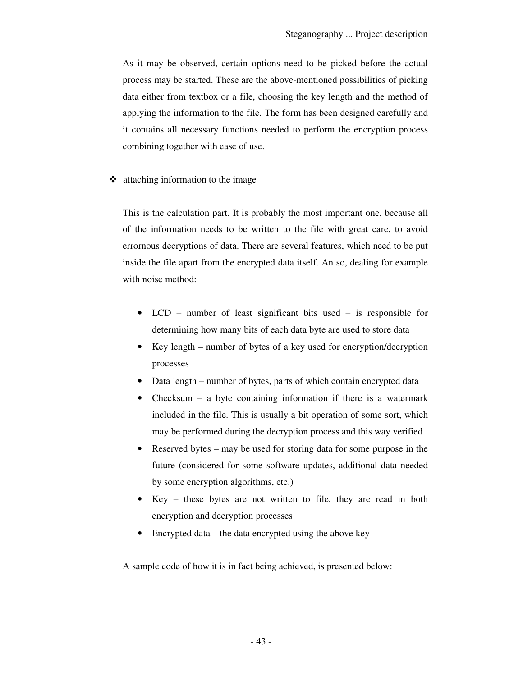As it may be observed, certain options need to be picked before the actual process may be started. These are the above-mentioned possibilities of picking data either from textbox or a file, choosing the key length and the method of applying the information to the file. The form has been designed carefully and it contains all necessary functions needed to perform the encryption process combining together with ease of use.

- attaching information to the image

This is the calculation part. It is probably the most important one, because all of the information needs to be written to the file with great care, to avoid errornous decryptions of data. There are several features, which need to be put inside the file apart from the encrypted data itself. An so, dealing for example with noise method:

- LCD number of least significant bits used is responsible for determining how many bits of each data byte are used to store data
- Key length number of bytes of a key used for encryption/decryption processes
- Data length number of bytes, parts of which contain encrypted data
- Checksum a byte containing information if there is a watermark included in the file. This is usually a bit operation of some sort, which may be performed during the decryption process and this way verified
- Reserved bytes may be used for storing data for some purpose in the future (considered for some software updates, additional data needed by some encryption algorithms, etc.)
- Key these bytes are not written to file, they are read in both encryption and decryption processes
- Encrypted data the data encrypted using the above key

A sample code of how it is in fact being achieved, is presented below: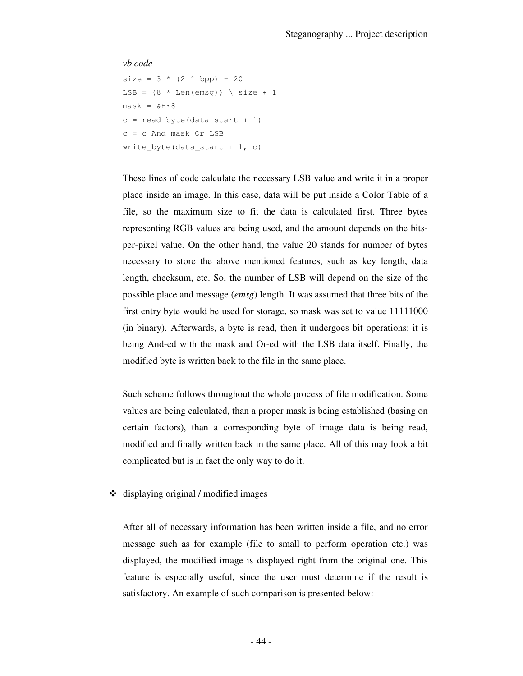#### *vb code*

```
size = 3 * (2 ^ A bpp) - 20LSB = (8 * len(emsq)) \ size + 1
mask = \&HF8c = read_byte(data_start + 1)c = c And mask Or LSB 
write byte(data start + 1, c)
```
These lines of code calculate the necessary LSB value and write it in a proper place inside an image. In this case, data will be put inside a Color Table of a file, so the maximum size to fit the data is calculated first. Three bytes representing RGB values are being used, and the amount depends on the bitsper-pixel value. On the other hand, the value 20 stands for number of bytes necessary to store the above mentioned features, such as key length, data length, checksum, etc. So, the number of LSB will depend on the size of the possible place and message (*emsg*) length. It was assumed that three bits of the first entry byte would be used for storage, so mask was set to value 11111000 (in binary). Afterwards, a byte is read, then it undergoes bit operations: it is being And-ed with the mask and Or-ed with the LSB data itself. Finally, the modified byte is written back to the file in the same place.

Such scheme follows throughout the whole process of file modification. Some values are being calculated, than a proper mask is being established (basing on certain factors), than a corresponding byte of image data is being read, modified and finally written back in the same place. All of this may look a bit complicated but is in fact the only way to do it.

- displaying original / modified images

After all of necessary information has been written inside a file, and no error message such as for example (file to small to perform operation etc.) was displayed, the modified image is displayed right from the original one. This feature is especially useful, since the user must determine if the result is satisfactory. An example of such comparison is presented below: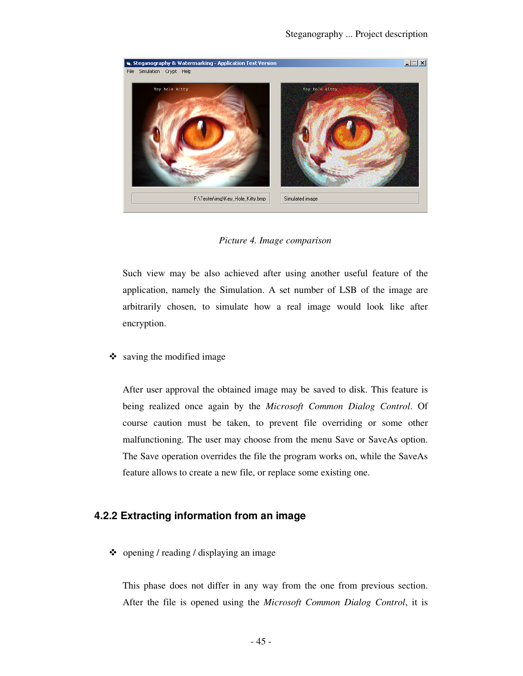

#### *Picture 4. Image comparison*

Such view may be also achieved after using another useful feature of the application, namely the Simulation. A set number of LSB of the image are arbitrarily chosen, to simulate how a real image would look like after encryption.

- saving the modified image

After user approval the obtained image may be saved to disk. This feature is being realized once again by the *Microsoft Common Dialog Control*. Of course caution must be taken, to prevent file overriding or some other malfunctioning. The user may choose from the menu Save or SaveAs option. The Save operation overrides the file the program works on, while the SaveAs feature allows to create a new file, or replace some existing one.

### **4.2.2 Extracting information from an image**

- opening / reading / displaying an image

This phase does not differ in any way from the one from previous section. After the file is opened using the *Microsoft Common Dialog Control*, it is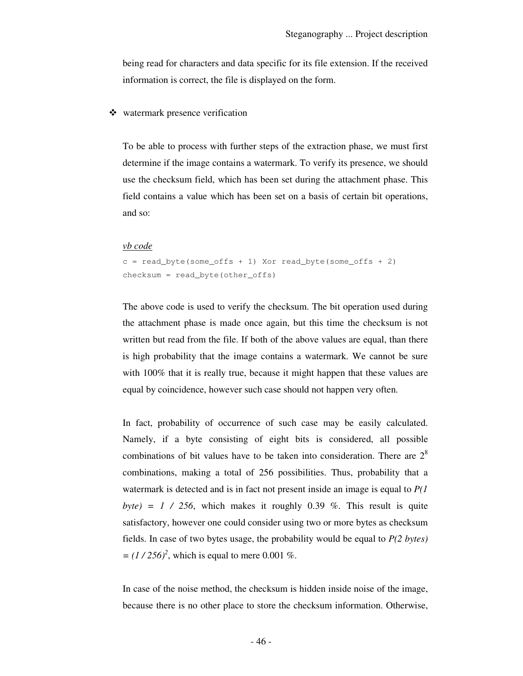being read for characters and data specific for its file extension. If the received information is correct, the file is displayed on the form.

## - watermark presence verification

To be able to process with further steps of the extraction phase, we must first determine if the image contains a watermark. To verify its presence, we should use the checksum field, which has been set during the attachment phase. This field contains a value which has been set on a basis of certain bit operations, and so:

#### *vb code*

```
c = read\_byte(some\_offs + 1) Xor read_byte(some_offs + 2)
checksum = read_byte(other_offs)
```
The above code is used to verify the checksum. The bit operation used during the attachment phase is made once again, but this time the checksum is not written but read from the file. If both of the above values are equal, than there is high probability that the image contains a watermark. We cannot be sure with 100% that it is really true, because it might happen that these values are equal by coincidence, however such case should not happen very often.

In fact, probability of occurrence of such case may be easily calculated. Namely, if a byte consisting of eight bits is considered, all possible combinations of bit values have to be taken into consideration. There are  $2<sup>8</sup>$ combinations, making a total of 256 possibilities. Thus, probability that a watermark is detected and is in fact not present inside an image is equal to *P(1*   $byte) = 1 / 256$ , which makes it roughly 0.39 %. This result is quite satisfactory, however one could consider using two or more bytes as checksum fields. In case of two bytes usage, the probability would be equal to *P(2 bytes)*   $=(1/256)^2$ , which is equal to mere 0.001 %.

In case of the noise method, the checksum is hidden inside noise of the image, because there is no other place to store the checksum information. Otherwise,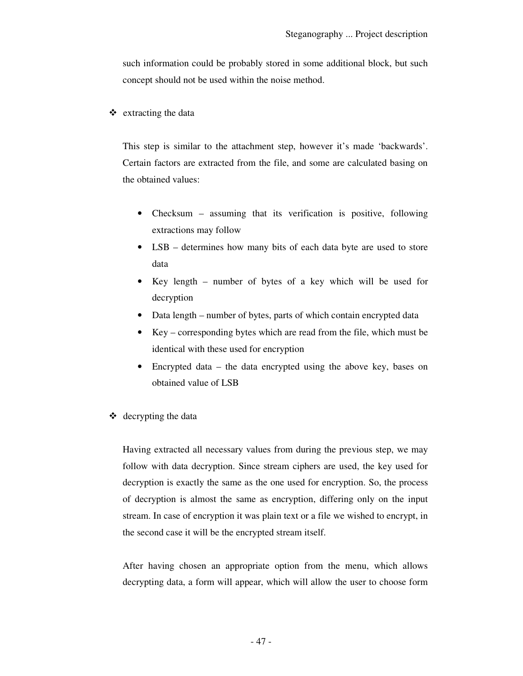such information could be probably stored in some additional block, but such concept should not be used within the noise method.

- extracting the data

This step is similar to the attachment step, however it's made 'backwards'. Certain factors are extracted from the file, and some are calculated basing on the obtained values:

- Checksum assuming that its verification is positive, following extractions may follow
- LSB determines how many bits of each data byte are used to store data
- Key length number of bytes of a key which will be used for decryption
- Data length number of bytes, parts of which contain encrypted data
- Key corresponding bytes which are read from the file, which must be identical with these used for encryption
- Encrypted data the data encrypted using the above key, bases on obtained value of LSB
- decrypting the data

Having extracted all necessary values from during the previous step, we may follow with data decryption. Since stream ciphers are used, the key used for decryption is exactly the same as the one used for encryption. So, the process of decryption is almost the same as encryption, differing only on the input stream. In case of encryption it was plain text or a file we wished to encrypt, in the second case it will be the encrypted stream itself.

After having chosen an appropriate option from the menu, which allows decrypting data, a form will appear, which will allow the user to choose form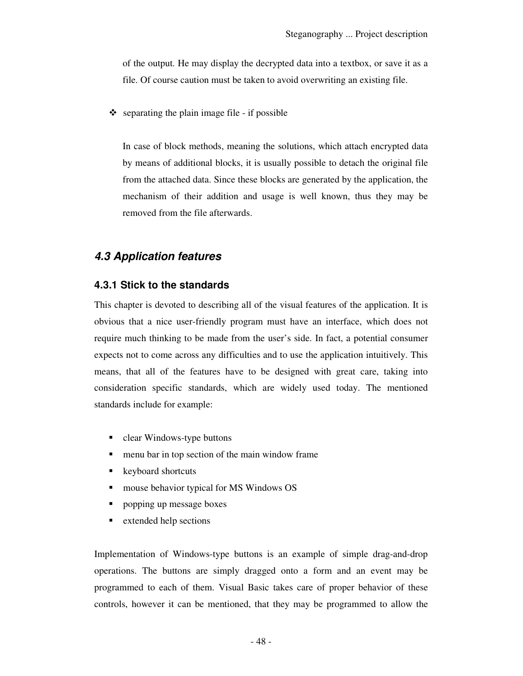of the output. He may display the decrypted data into a textbox, or save it as a file. Of course caution must be taken to avoid overwriting an existing file.

- separating the plain image file - if possible

In case of block methods, meaning the solutions, which attach encrypted data by means of additional blocks, it is usually possible to detach the original file from the attached data. Since these blocks are generated by the application, the mechanism of their addition and usage is well known, thus they may be removed from the file afterwards.

## **4.3 Application features**

## **4.3.1 Stick to the standards**

This chapter is devoted to describing all of the visual features of the application. It is obvious that a nice user-friendly program must have an interface, which does not require much thinking to be made from the user's side. In fact, a potential consumer expects not to come across any difficulties and to use the application intuitively. This means, that all of the features have to be designed with great care, taking into consideration specific standards, which are widely used today. The mentioned standards include for example:

- clear Windows-type buttons
- menu bar in top section of the main window frame
- keyboard shortcuts
- **mouse behavior typical for MS Windows OS**
- popping up message boxes
- extended help sections

Implementation of Windows-type buttons is an example of simple drag-and-drop operations. The buttons are simply dragged onto a form and an event may be programmed to each of them. Visual Basic takes care of proper behavior of these controls, however it can be mentioned, that they may be programmed to allow the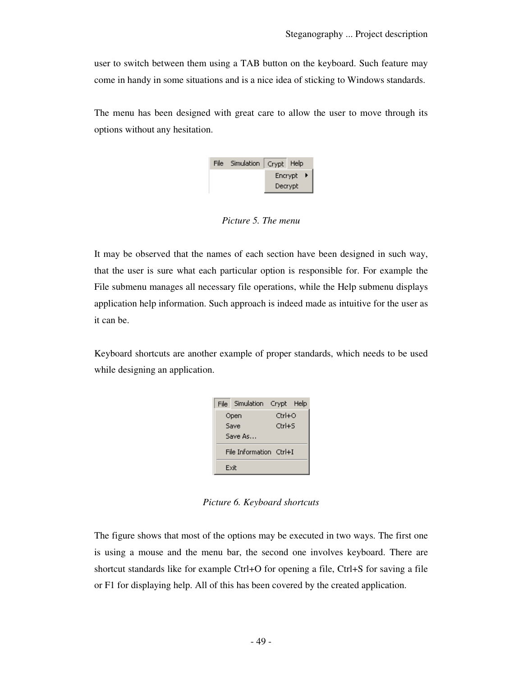user to switch between them using a TAB button on the keyboard. Such feature may come in handy in some situations and is a nice idea of sticking to Windows standards.

The menu has been designed with great care to allow the user to move through its options without any hesitation.

| File Simulation   Crypt Help |           |  |  |
|------------------------------|-----------|--|--|
|                              | Encrypt ▶ |  |  |
|                              | Decrypt   |  |  |

*Picture 5. The menu* 

It may be observed that the names of each section have been designed in such way, that the user is sure what each particular option is responsible for. For example the File submenu manages all necessary file operations, while the Help submenu displays application help information. Such approach is indeed made as intuitive for the user as it can be.

Keyboard shortcuts are another example of proper standards, which needs to be used while designing an application.

|      | File Simulation Crypt Help |              |  |  |  |
|------|----------------------------|--------------|--|--|--|
|      | Open                       | $C$ trl $+O$ |  |  |  |
|      | Save                       | $CrI + 5$    |  |  |  |
|      | Save As                    |              |  |  |  |
|      | File Information Ctrl+I    |              |  |  |  |
| Exit |                            |              |  |  |  |

*Picture 6. Keyboard shortcuts* 

The figure shows that most of the options may be executed in two ways. The first one is using a mouse and the menu bar, the second one involves keyboard. There are shortcut standards like for example Ctrl+O for opening a file, Ctrl+S for saving a file or F1 for displaying help. All of this has been covered by the created application.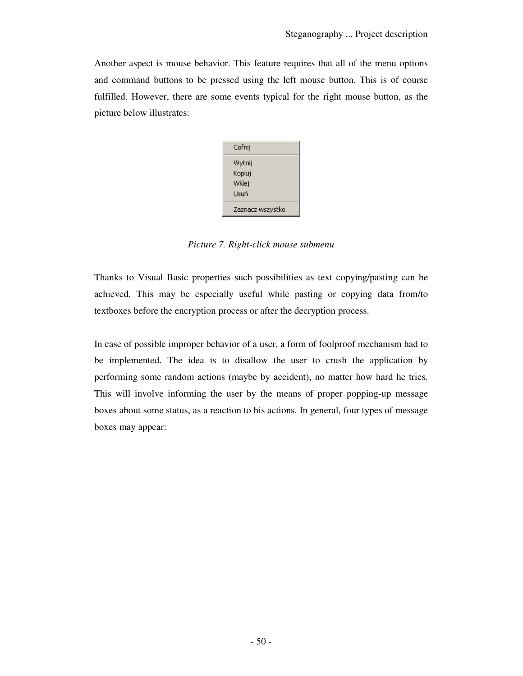Another aspect is mouse behavior. This feature requires that all of the menu options and command buttons to be pressed using the left mouse button. This is of course fulfilled. However, there are some events typical for the right mouse button, as the picture below illustrates:



*Picture 7. Right-click mouse submenu* 

Thanks to Visual Basic properties such possibilities as text copying/pasting can be achieved. This may be especially useful while pasting or copying data from/to textboxes before the encryption process or after the decryption process.

In case of possible improper behavior of a user, a form of foolproof mechanism had to be implemented. The idea is to disallow the user to crush the application by performing some random actions (maybe by accident), no matter how hard he tries. This will involve informing the user by the means of proper popping-up message boxes about some status, as a reaction to his actions. In general, four types of message boxes may appear: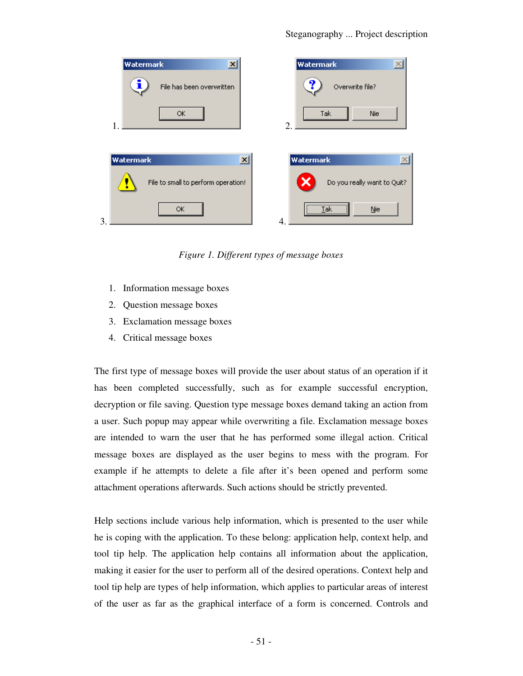

*Figure 1. Different types of message boxes* 

- 1. Information message boxes
- 2. Question message boxes
- 3. Exclamation message boxes
- 4. Critical message boxes

The first type of message boxes will provide the user about status of an operation if it has been completed successfully, such as for example successful encryption, decryption or file saving. Question type message boxes demand taking an action from a user. Such popup may appear while overwriting a file. Exclamation message boxes are intended to warn the user that he has performed some illegal action. Critical message boxes are displayed as the user begins to mess with the program. For example if he attempts to delete a file after it's been opened and perform some attachment operations afterwards. Such actions should be strictly prevented.

Help sections include various help information, which is presented to the user while he is coping with the application. To these belong: application help, context help, and tool tip help. The application help contains all information about the application, making it easier for the user to perform all of the desired operations. Context help and tool tip help are types of help information, which applies to particular areas of interest of the user as far as the graphical interface of a form is concerned. Controls and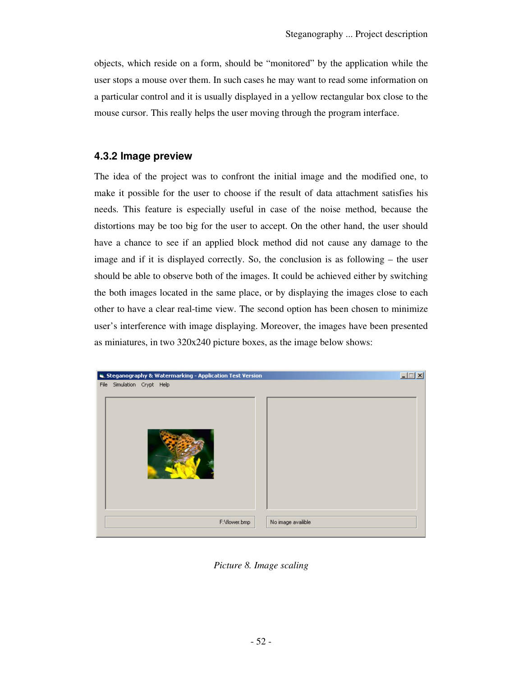objects, which reside on a form, should be "monitored" by the application while the user stops a mouse over them. In such cases he may want to read some information on a particular control and it is usually displayed in a yellow rectangular box close to the mouse cursor. This really helps the user moving through the program interface.

## **4.3.2 Image preview**

The idea of the project was to confront the initial image and the modified one, to make it possible for the user to choose if the result of data attachment satisfies his needs. This feature is especially useful in case of the noise method, because the distortions may be too big for the user to accept. On the other hand, the user should have a chance to see if an applied block method did not cause any damage to the image and if it is displayed correctly. So, the conclusion is as following – the user should be able to observe both of the images. It could be achieved either by switching the both images located in the same place, or by displaying the images close to each other to have a clear real-time view. The second option has been chosen to minimize user's interference with image displaying. Moreover, the images have been presented as miniatures, in two 320x240 picture boxes, as the image below shows:



*Picture 8. Image scaling*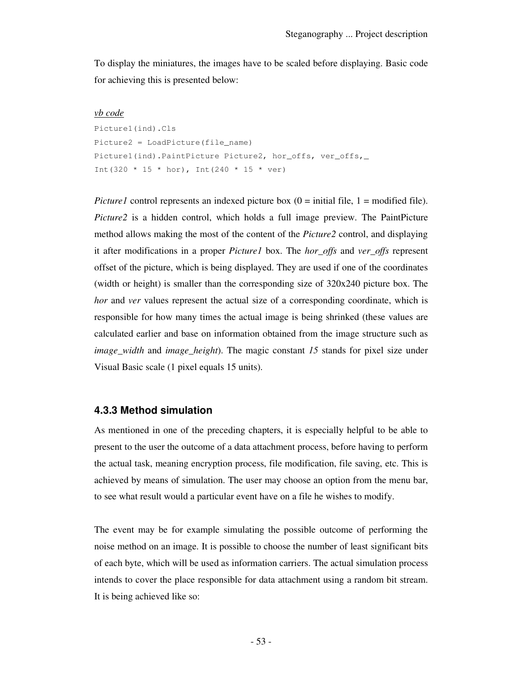To display the miniatures, the images have to be scaled before displaying. Basic code for achieving this is presented below:

#### *vb code*

```
Picture1(ind).Cls 
Picture2 = LoadPicture(file_name) 
Picture1(ind).PaintPicture Picture2, hor_offs, ver_offs,_
Int(320 * 15 * hor), Int(240 * 15 * ver)
```
*Picture1* control represents an indexed picture box  $(0 = initial file, 1 = modified file)$ . *Picture2* is a hidden control, which holds a full image preview. The PaintPicture method allows making the most of the content of the *Picture2* control, and displaying it after modifications in a proper *Picture1* box. The *hor\_offs* and *ver\_offs* represent offset of the picture, which is being displayed. They are used if one of the coordinates (width or height) is smaller than the corresponding size of 320x240 picture box. The *hor* and *ver* values represent the actual size of a corresponding coordinate, which is responsible for how many times the actual image is being shrinked (these values are calculated earlier and base on information obtained from the image structure such as *image\_width* and *image\_height*). The magic constant *15* stands for pixel size under Visual Basic scale (1 pixel equals 15 units).

#### **4.3.3 Method simulation**

As mentioned in one of the preceding chapters, it is especially helpful to be able to present to the user the outcome of a data attachment process, before having to perform the actual task, meaning encryption process, file modification, file saving, etc. This is achieved by means of simulation. The user may choose an option from the menu bar, to see what result would a particular event have on a file he wishes to modify.

The event may be for example simulating the possible outcome of performing the noise method on an image. It is possible to choose the number of least significant bits of each byte, which will be used as information carriers. The actual simulation process intends to cover the place responsible for data attachment using a random bit stream. It is being achieved like so: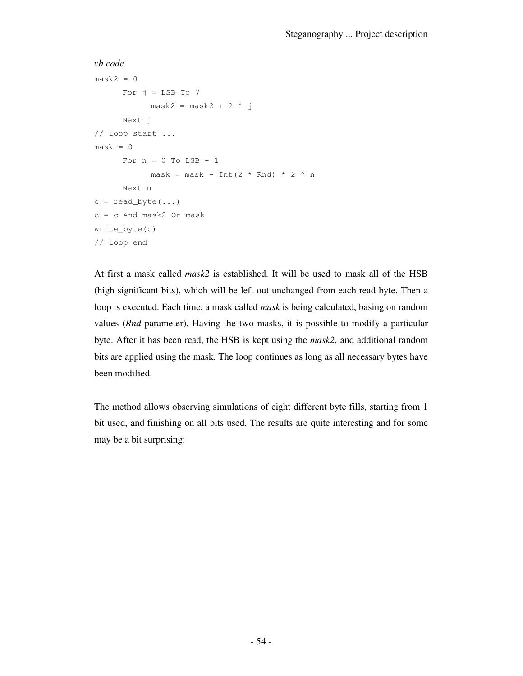```
vb code
```

```
mask2 = 0For j = LSB To 7
           mask2 = mask2 + 2 ^ j
     Next j 
// loop start ...
mask = 0For n = 0 To LSB - 1
          mask = mask + Int(2 * Rnd) * 2 * nNext n 
c = read\_byte(...)c = c And mask2 Or mask
write_byte(c) 
// loop end
```
At first a mask called *mask2* is established. It will be used to mask all of the HSB (high significant bits), which will be left out unchanged from each read byte. Then a loop is executed. Each time, a mask called *mask* is being calculated, basing on random values (*Rnd* parameter). Having the two masks, it is possible to modify a particular byte. After it has been read, the HSB is kept using the *mask2*, and additional random bits are applied using the mask. The loop continues as long as all necessary bytes have been modified.

The method allows observing simulations of eight different byte fills, starting from 1 bit used, and finishing on all bits used. The results are quite interesting and for some may be a bit surprising: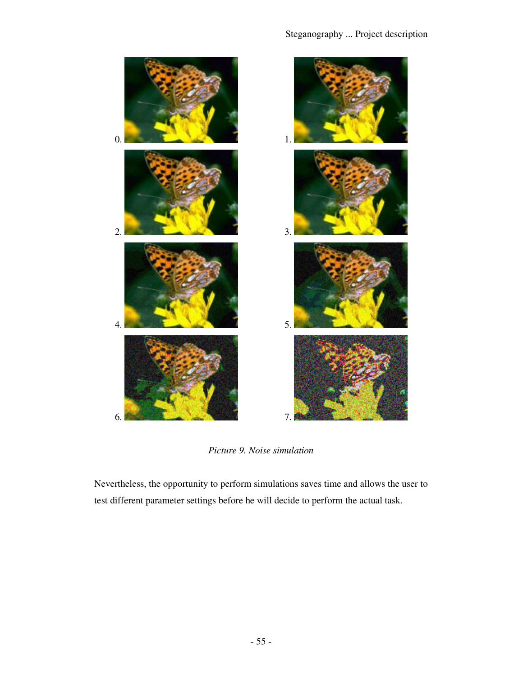

*Picture 9. Noise simulation* 

Nevertheless, the opportunity to perform simulations saves time and allows the user to test different parameter settings before he will decide to perform the actual task.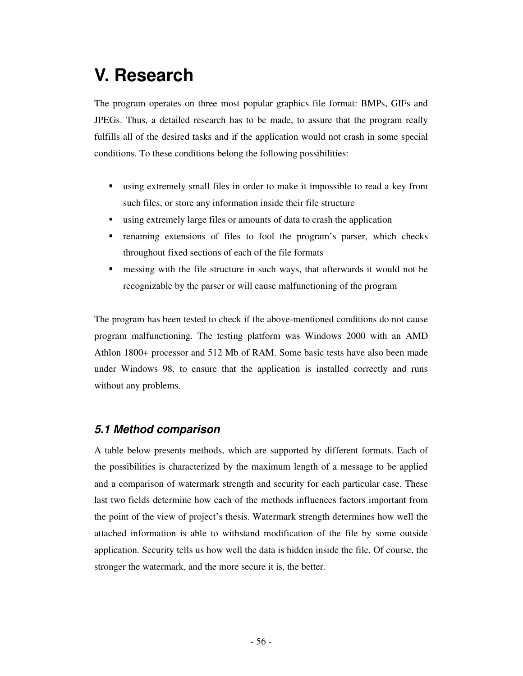## **V. Research**

The program operates on three most popular graphics file format: BMPs, GIFs and JPEGs. Thus, a detailed research has to be made, to assure that the program really fulfills all of the desired tasks and if the application would not crash in some special conditions. To these conditions belong the following possibilities:

- using extremely small files in order to make it impossible to read a key from such files, or store any information inside their file structure
- using extremely large files or amounts of data to crash the application
- renaming extensions of files to fool the program's parser, which checks throughout fixed sections of each of the file formats
- **F** messing with the file structure in such ways, that afterwards it would not be recognizable by the parser or will cause malfunctioning of the program

The program has been tested to check if the above-mentioned conditions do not cause program malfunctioning. The testing platform was Windows 2000 with an AMD Athlon 1800+ processor and 512 Mb of RAM. Some basic tests have also been made under Windows 98, to ensure that the application is installed correctly and runs without any problems.

## **5.1 Method comparison**

A table below presents methods, which are supported by different formats. Each of the possibilities is characterized by the maximum length of a message to be applied and a comparison of watermark strength and security for each particular case. These last two fields determine how each of the methods influences factors important from the point of the view of project's thesis. Watermark strength determines how well the attached information is able to withstand modification of the file by some outside application. Security tells us how well the data is hidden inside the file. Of course, the stronger the watermark, and the more secure it is, the better.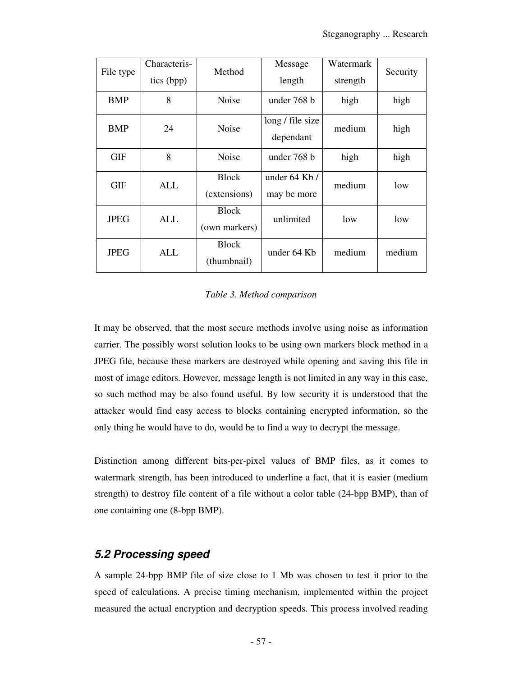| File type   | Characteris-<br>tics (bpp) | Method                        | Message<br>length             | Watermark<br>strength | Security |
|-------------|----------------------------|-------------------------------|-------------------------------|-----------------------|----------|
| <b>BMP</b>  | 8                          | Noise                         | under 768 b                   | high                  | high     |
| <b>BMP</b>  | 24                         | <b>Noise</b>                  | long / file size<br>dependant | medium                | high     |
| <b>GIF</b>  | 8                          | <b>Noise</b>                  | under 768 b                   | high                  | high     |
| GIF         | ALL                        | <b>Block</b><br>(extensions)  | under 64 Kb /<br>may be more  | medium                | low      |
| <b>JPEG</b> | ALL                        | <b>Block</b><br>(own markers) | unlimited                     | low                   | low      |
| <b>JPEG</b> | ALL                        | <b>Block</b><br>(thumbnail)   | under 64 Kb                   | medium                | medium   |

#### *Table 3. Method comparison*

It may be observed, that the most secure methods involve using noise as information carrier. The possibly worst solution looks to be using own markers block method in a JPEG file, because these markers are destroyed while opening and saving this file in most of image editors. However, message length is not limited in any way in this case, so such method may be also found useful. By low security it is understood that the attacker would find easy access to blocks containing encrypted information, so the only thing he would have to do, would be to find a way to decrypt the message.

Distinction among different bits-per-pixel values of BMP files, as it comes to watermark strength, has been introduced to underline a fact, that it is easier (medium strength) to destroy file content of a file without a color table (24-bpp BMP), than of one containing one (8-bpp BMP).

## **5.2 Processing speed**

A sample 24-bpp BMP file of size close to 1 Mb was chosen to test it prior to the speed of calculations. A precise timing mechanism, implemented within the project measured the actual encryption and decryption speeds. This process involved reading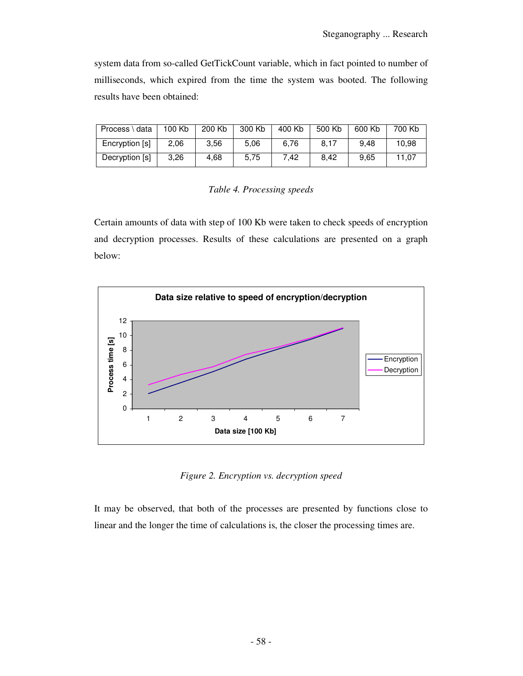system data from so-called GetTickCount variable, which in fact pointed to number of milliseconds, which expired from the time the system was booted. The following results have been obtained:

| Process \ data | 100 Kb | 200 Kb | 300 Kb | 400 Kb | 500 Kb | 600 Kb | 700 Kb |
|----------------|--------|--------|--------|--------|--------|--------|--------|
| Encryption [s] | 2,06   | 3,56   | 5,06   | 6.76   | 8.17   | 9.48   | 10.98  |
| Decryption [s] | 3,26   | 4,68   | 5,75   | 7.42   | 8.42   | 9.65   | 11.07  |

*Table 4. Processing speeds* 

Certain amounts of data with step of 100 Kb were taken to check speeds of encryption and decryption processes. Results of these calculations are presented on a graph below:



*Figure 2. Encryption vs. decryption speed* 

It may be observed, that both of the processes are presented by functions close to linear and the longer the time of calculations is, the closer the processing times are.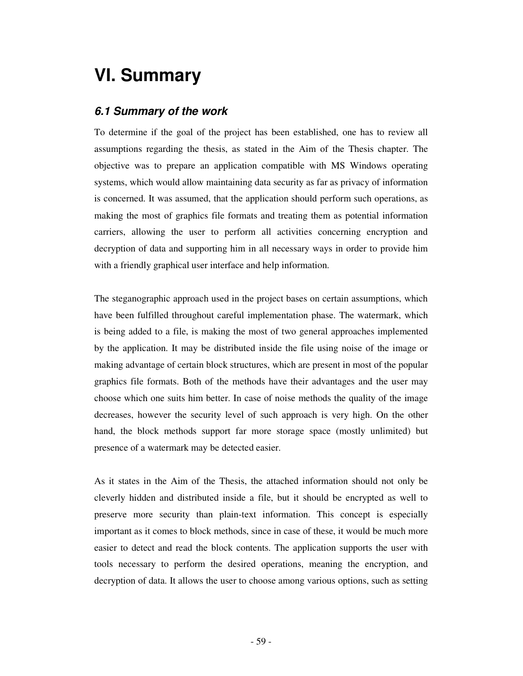## **VI. Summary**

## **6.1 Summary of the work**

To determine if the goal of the project has been established, one has to review all assumptions regarding the thesis, as stated in the Aim of the Thesis chapter. The objective was to prepare an application compatible with MS Windows operating systems, which would allow maintaining data security as far as privacy of information is concerned. It was assumed, that the application should perform such operations, as making the most of graphics file formats and treating them as potential information carriers, allowing the user to perform all activities concerning encryption and decryption of data and supporting him in all necessary ways in order to provide him with a friendly graphical user interface and help information.

The steganographic approach used in the project bases on certain assumptions, which have been fulfilled throughout careful implementation phase. The watermark, which is being added to a file, is making the most of two general approaches implemented by the application. It may be distributed inside the file using noise of the image or making advantage of certain block structures, which are present in most of the popular graphics file formats. Both of the methods have their advantages and the user may choose which one suits him better. In case of noise methods the quality of the image decreases, however the security level of such approach is very high. On the other hand, the block methods support far more storage space (mostly unlimited) but presence of a watermark may be detected easier.

As it states in the Aim of the Thesis, the attached information should not only be cleverly hidden and distributed inside a file, but it should be encrypted as well to preserve more security than plain-text information. This concept is especially important as it comes to block methods, since in case of these, it would be much more easier to detect and read the block contents. The application supports the user with tools necessary to perform the desired operations, meaning the encryption, and decryption of data. It allows the user to choose among various options, such as setting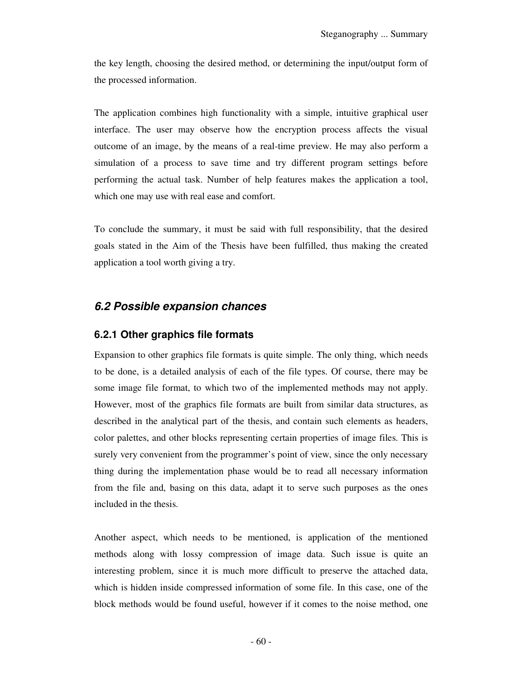the key length, choosing the desired method, or determining the input/output form of the processed information.

The application combines high functionality with a simple, intuitive graphical user interface. The user may observe how the encryption process affects the visual outcome of an image, by the means of a real-time preview. He may also perform a simulation of a process to save time and try different program settings before performing the actual task. Number of help features makes the application a tool, which one may use with real ease and comfort.

To conclude the summary, it must be said with full responsibility, that the desired goals stated in the Aim of the Thesis have been fulfilled, thus making the created application a tool worth giving a try.

## **6.2 Possible expansion chances**

### **6.2.1 Other graphics file formats**

Expansion to other graphics file formats is quite simple. The only thing, which needs to be done, is a detailed analysis of each of the file types. Of course, there may be some image file format, to which two of the implemented methods may not apply. However, most of the graphics file formats are built from similar data structures, as described in the analytical part of the thesis, and contain such elements as headers, color palettes, and other blocks representing certain properties of image files. This is surely very convenient from the programmer's point of view, since the only necessary thing during the implementation phase would be to read all necessary information from the file and, basing on this data, adapt it to serve such purposes as the ones included in the thesis.

Another aspect, which needs to be mentioned, is application of the mentioned methods along with lossy compression of image data. Such issue is quite an interesting problem, since it is much more difficult to preserve the attached data, which is hidden inside compressed information of some file. In this case, one of the block methods would be found useful, however if it comes to the noise method, one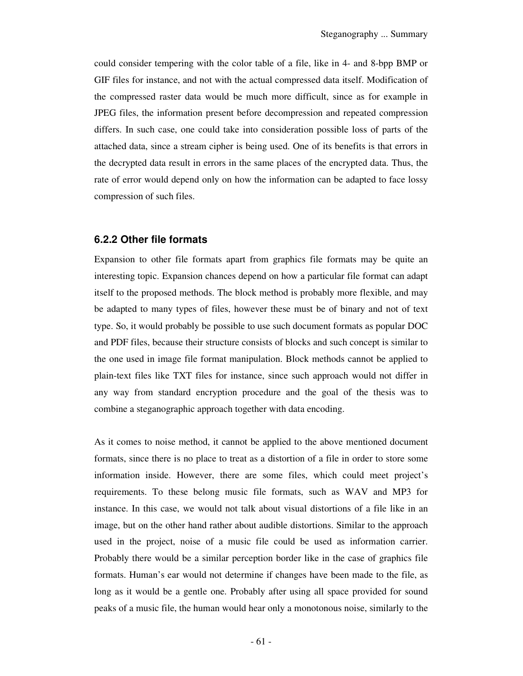could consider tempering with the color table of a file, like in 4- and 8-bpp BMP or GIF files for instance, and not with the actual compressed data itself. Modification of the compressed raster data would be much more difficult, since as for example in JPEG files, the information present before decompression and repeated compression differs. In such case, one could take into consideration possible loss of parts of the attached data, since a stream cipher is being used. One of its benefits is that errors in the decrypted data result in errors in the same places of the encrypted data. Thus, the rate of error would depend only on how the information can be adapted to face lossy compression of such files.

### **6.2.2 Other file formats**

Expansion to other file formats apart from graphics file formats may be quite an interesting topic. Expansion chances depend on how a particular file format can adapt itself to the proposed methods. The block method is probably more flexible, and may be adapted to many types of files, however these must be of binary and not of text type. So, it would probably be possible to use such document formats as popular DOC and PDF files, because their structure consists of blocks and such concept is similar to the one used in image file format manipulation. Block methods cannot be applied to plain-text files like TXT files for instance, since such approach would not differ in any way from standard encryption procedure and the goal of the thesis was to combine a steganographic approach together with data encoding.

As it comes to noise method, it cannot be applied to the above mentioned document formats, since there is no place to treat as a distortion of a file in order to store some information inside. However, there are some files, which could meet project's requirements. To these belong music file formats, such as WAV and MP3 for instance. In this case, we would not talk about visual distortions of a file like in an image, but on the other hand rather about audible distortions. Similar to the approach used in the project, noise of a music file could be used as information carrier. Probably there would be a similar perception border like in the case of graphics file formats. Human's ear would not determine if changes have been made to the file, as long as it would be a gentle one. Probably after using all space provided for sound peaks of a music file, the human would hear only a monotonous noise, similarly to the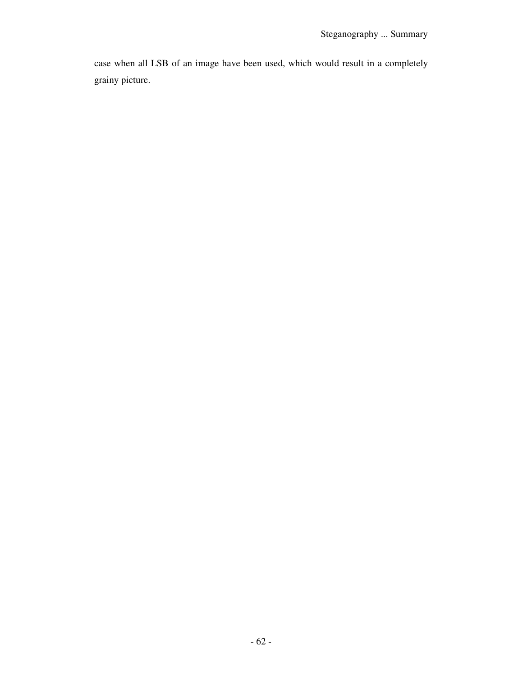case when all LSB of an image have been used, which would result in a completely grainy picture.